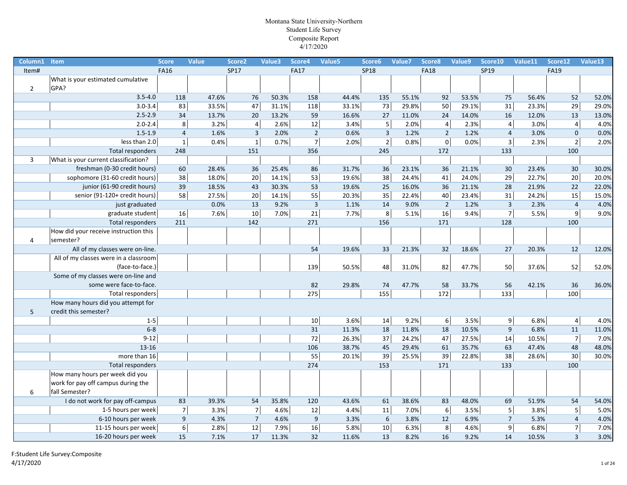| Column1        | <b>Item</b>                           | <b>Score</b>     | <b>Value</b> | Score <sub>2</sub> | Value3 | Score4         | Value <sub>5</sub> | Score6         | Value7 | Score8              | Value9 | Score10                 | Value11 | Score12        | Value13 |
|----------------|---------------------------------------|------------------|--------------|--------------------|--------|----------------|--------------------|----------------|--------|---------------------|--------|-------------------------|---------|----------------|---------|
| Item#          |                                       | <b>FA16</b>      |              | SP17               |        | <b>FA17</b>    |                    | <b>SP18</b>    |        | <b>FA18</b>         |        | SP19                    |         | <b>FA19</b>    |         |
|                | What is your estimated cumulative     |                  |              |                    |        |                |                    |                |        |                     |        |                         |         |                |         |
| $\overline{2}$ | GPA?                                  |                  |              |                    |        |                |                    |                |        |                     |        |                         |         |                |         |
|                | $3.5 - 4.0$                           | 118              | 47.6%        | 76                 | 50.3%  | 158            | 44.4%              | 135            | 55.1%  | 92                  | 53.5%  | 75                      | 56.4%   | 52             | 52.0%   |
|                | $3.0 - 3.4$                           | 83               | 33.5%        | 47                 | 31.1%  | 118            | 33.1%              | 73             | 29.8%  | 50                  | 29.1%  | 31                      | 23.3%   | 29             | 29.0%   |
|                | $2.5 - 2.9$                           | 34               | 13.7%        | 20                 | 13.2%  | 59             | 16.6%              | 27             | 11.0%  | 24                  | 14.0%  | 16                      | 12.0%   | 13             | 13.0%   |
|                | $2.0 - 2.4$                           | 8                | 3.2%         | $\overline{4}$     | 2.6%   | 12             | 3.4%               | $\mathsf S$    | 2.0%   | 4                   | 2.3%   | $\overline{4}$          | 3.0%    | $\overline{4}$ | 4.0%    |
|                | $1.5 - 1.9$                           | $\overline{4}$   | 1.6%         | $\overline{3}$     | 2.0%   | $\overline{2}$ | 0.6%               | $\mathsf 3$    | 1.2%   | $\overline{2}$      | 1.2%   | $\overline{4}$          | 3.0%    | $\mathbf 0$    | 0.0%    |
|                | less than 2.0                         | $\mathbf{1}$     | 0.4%         | $\mathbf 1$        | 0.7%   | $\overline{7}$ | 2.0%               | $\overline{2}$ | 0.8%   | $\mathsf{O}\xspace$ | 0.0%   | $\overline{\mathbf{3}}$ | 2.3%    | $\overline{2}$ | 2.0%    |
|                | Total responders                      | 248              |              | 151                |        | 356            |                    | 245            |        | 172                 |        | 133                     |         | 100            |         |
| 3              | What is your current classification?  |                  |              |                    |        |                |                    |                |        |                     |        |                         |         |                |         |
|                | freshman (0-30 credit hours)          | 60               | 28.4%        | 36                 | 25.4%  | 86             | 31.7%              | 36             | 23.1%  | 36                  | 21.1%  | 30                      | 23.4%   | 30             | 30.0%   |
|                | sophomore (31-60 credit hours)        | 38               | 18.0%        | 20                 | 14.1%  | 53             | 19.6%              | 38             | 24.4%  | 41                  | 24.0%  | 29                      | 22.7%   | 20             | 20.0%   |
|                | junior (61-90 credit hours)           | 39               | 18.5%        | 43                 | 30.3%  | 53             | 19.6%              | 25             | 16.0%  | 36                  | 21.1%  | 28                      | 21.9%   | 22             | 22.0%   |
|                | senior (91-120+ credit hours)         | 58               | 27.5%        | 20                 | 14.1%  | 55             | 20.3%              | 35             | 22.4%  | 40                  | 23.4%  | 31                      | 24.2%   | 15             | 15.0%   |
|                | just graduated                        |                  | 0.0%         | 13                 | 9.2%   | $\overline{3}$ | 1.1%               | 14             | 9.0%   | $\overline{2}$      | 1.2%   | $\overline{3}$          | 2.3%    | $\overline{4}$ | 4.0%    |
|                | graduate student                      | 16               | 7.6%         | $10\,$             | 7.0%   | 21             | 7.7%               | $\,8\,$        | 5.1%   | 16                  | 9.4%   | $\overline{7}$          | 5.5%    | $\overline{9}$ | 9.0%    |
|                | Total responders                      | 211              |              | 142                |        | 271            |                    | 156            |        | 171                 |        | 128                     |         | 100            |         |
|                | How did your receive instruction this |                  |              |                    |        |                |                    |                |        |                     |        |                         |         |                |         |
| 4              | semester?                             |                  |              |                    |        |                |                    |                |        |                     |        |                         |         |                |         |
|                | All of my classes were on-line.       |                  |              |                    |        | 54             | 19.6%              | 33             | 21.3%  | 32                  | 18.6%  | 27                      | 20.3%   | 12             | 12.0%   |
|                | All of my classes were in a classroom |                  |              |                    |        |                |                    |                |        |                     |        |                         |         |                |         |
|                | (face-to-face.)                       |                  |              |                    |        | 139            | 50.5%              | 48             | 31.0%  | 82                  | 47.7%  | 50                      | 37.6%   | 52             | 52.0%   |
|                | Some of my classes were on-line and   |                  |              |                    |        |                |                    |                |        |                     |        |                         |         |                |         |
|                | some were face-to-face.               |                  |              |                    |        | 82             | 29.8%              | 74             | 47.7%  | 58                  | 33.7%  | 56                      | 42.1%   | 36             | 36.0%   |
|                | Total responders                      |                  |              |                    |        | 275            |                    | 155            |        | 172                 |        | $\overline{133}$        |         | 100            |         |
|                | How many hours did you attempt for    |                  |              |                    |        |                |                    |                |        |                     |        |                         |         |                |         |
| 5              | credit this semester?                 |                  |              |                    |        |                |                    |                |        |                     |        |                         |         |                |         |
|                | $1 - 5$                               |                  |              |                    |        | 10             | 3.6%               | 14             | 9.2%   | $6 \mid$            | 3.5%   | 9 <sup>1</sup>          | 6.8%    | $\vert$        | 4.0%    |
|                | $6 - 8$                               |                  |              |                    |        | 31             | 11.3%              | 18             | 11.8%  | 18                  | 10.5%  | $\boldsymbol{9}$        | 6.8%    | 11             | 11.0%   |
|                | $9-12$                                |                  |              |                    |        | 72             | 26.3%              | 37             | 24.2%  | 47                  | 27.5%  | 14                      | 10.5%   | $\overline{7}$ | 7.0%    |
|                | 13-16                                 |                  |              |                    |        | 106            | 38.7%              | 45             | 29.4%  | 61                  | 35.7%  | 63                      | 47.4%   | 48             | 48.0%   |
|                | more than 16                          |                  |              |                    |        | 55             | 20.1%              | 39             | 25.5%  | 39                  | 22.8%  | 38                      | 28.6%   | 30             | 30.0%   |
|                | Total responders                      |                  |              |                    |        | 274            |                    | 153            |        | 171                 |        | 133                     |         | 100            |         |
|                | How many hours per week did you       |                  |              |                    |        |                |                    |                |        |                     |        |                         |         |                |         |
|                | work for pay off campus during the    |                  |              |                    |        |                |                    |                |        |                     |        |                         |         |                |         |
| 6              | fall Semester?                        |                  |              |                    |        |                |                    |                |        |                     |        |                         |         |                |         |
|                | I do not work for pay off-campus      | 83               | 39.3%        | 54                 | 35.8%  | 120            | 43.6%              | 61             | 38.6%  | 83                  | 48.0%  | 69                      | 51.9%   | 54             | 54.0%   |
|                | 1-5 hours per week                    | $\overline{7}$   | 3.3%         | $\overline{7}$     | 4.6%   | 12             | 4.4%               | $11\,$         | 7.0%   | 6                   | 3.5%   | $5\phantom{.}$          | 3.8%    | $\overline{5}$ | 5.0%    |
|                | 6-10 hours per week                   | $\boldsymbol{9}$ | 4.3%         | $\overline{7}$     | 4.6%   | $9\,$          | 3.3%               | 6              | 3.8%   | 12                  | 6.9%   | $\overline{7}$          | 5.3%    | $\overline{4}$ | 4.0%    |
|                | 11-15 hours per week                  | $6 \overline{6}$ | 2.8%         | 12                 | 7.9%   | 16             | 5.8%               | 10             | 6.3%   | $\bf 8$             | 4.6%   | $\mathsf g$             | 6.8%    | $\overline{7}$ | 7.0%    |
|                | 16-20 hours per week                  | 15               | 7.1%         | 17                 | 11.3%  | 32             | 11.6%              | 13             | 8.2%   | 16                  | 9.2%   | 14                      | 10.5%   | $\overline{3}$ | 3.0%    |
|                |                                       |                  |              |                    |        |                |                    |                |        |                     |        |                         |         |                |         |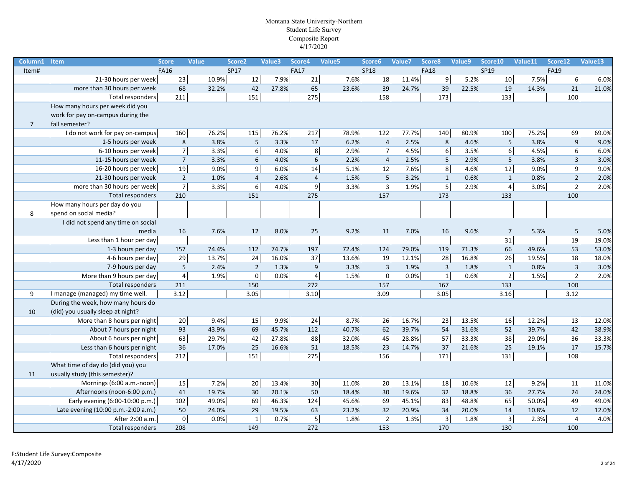| Column1        | Item                                | <b>Score</b>   | Value | Score <sub>2</sub> | Value3 | Score4           | Value5 | Score6         | Value7 | Score8                  | Value9 | Score10          | Value11                | Score12          | Value13 |
|----------------|-------------------------------------|----------------|-------|--------------------|--------|------------------|--------|----------------|--------|-------------------------|--------|------------------|------------------------|------------------|---------|
| Item#          |                                     | <b>FA16</b>    |       | SP17               |        | <b>FA17</b>      |        | <b>SP18</b>    |        | <b>FA18</b>             |        | SP19             |                        | <b>FA19</b>      |         |
|                | 21-30 hours per week                | 23             | 10.9% | 12                 | 7.9%   | 21               | 7.6%   | 18             | 11.4%  | 9                       | 5.2%   | 10               | 7.5%                   | $6\,$            | 6.0%    |
|                | more than 30 hours per week         | 68             | 32.2% | 42                 | 27.8%  | 65               | 23.6%  | 39             | 24.7%  | 39                      | 22.5%  | 19               | 14.3%                  | 21               | 21.0%   |
|                | Total responders                    | 211            |       | 151                |        | 275              |        | 158            |        | 173                     |        | 133              |                        | 100              |         |
|                | How many hours per week did you     |                |       |                    |        |                  |        |                |        |                         |        |                  |                        |                  |         |
|                | work for pay on-campus during the   |                |       |                    |        |                  |        |                |        |                         |        |                  |                        |                  |         |
| $\overline{7}$ | fall semester?                      |                |       |                    |        |                  |        |                |        |                         |        |                  |                        |                  |         |
|                | I do not work for pay on-campus     | 160            | 76.2% | 115                | 76.2%  | 217              | 78.9%  | 122            | 77.7%  | 140                     | 80.9%  | 100              | 75.2%                  | 69               | 69.0%   |
|                | 1-5 hours per week                  | 8              | 3.8%  | 5                  | 3.3%   | 17               | 6.2%   | $\overline{4}$ | 2.5%   | 8                       | 4.6%   |                  | 5<br>3.8%              | 9                | 9.0%    |
|                | 6-10 hours per week                 | $\overline{7}$ | 3.3%  | 6                  | 4.0%   | 8                | 2.9%   | $\overline{7}$ | 4.5%   | 6                       | 3.5%   |                  | $\sqrt{6}$<br>4.5%     | $\boldsymbol{6}$ | 6.0%    |
|                | 11-15 hours per week                | $\overline{7}$ | 3.3%  | 6                  | 4.0%   | 6                | 2.2%   | $\overline{4}$ | 2.5%   | 5                       | 2.9%   |                  | 5<br>3.8%              | $\overline{3}$   | 3.0%    |
|                | 16-20 hours per week                | 19             | 9.0%  | 9                  | 6.0%   | 14               | 5.1%   | 12             | 7.6%   | $\overline{8}$          | 4.6%   | 12               | 9.0%                   | $\overline{9}$   | 9.0%    |
|                | 21-30 hours per week                | $\overline{2}$ | 1.0%  | $\overline{4}$     | 2.6%   | $\overline{4}$   | 1.5%   | 5              | 3.2%   | $\mathbf{1}$            | 0.6%   |                  | $\mathbf{1}$<br>0.8%   | $\overline{2}$   | 2.0%    |
|                | more than 30 hours per week         | $\overline{7}$ | 3.3%  | 6                  | 4.0%   | $\boldsymbol{9}$ | 3.3%   | $\overline{3}$ | 1.9%   | $\overline{5}$          | 2.9%   |                  | $\overline{4}$<br>3.0% | $\overline{2}$   | 2.0%    |
|                | Total responders                    | 210            |       | 151                |        | 275              |        | 157            |        | 173                     |        | 133              |                        | 100              |         |
|                | How many hours per day do you       |                |       |                    |        |                  |        |                |        |                         |        |                  |                        |                  |         |
| 8              | spend on social media?              |                |       |                    |        |                  |        |                |        |                         |        |                  |                        |                  |         |
|                | I did not spend any time on social  |                |       |                    |        |                  |        |                |        |                         |        |                  |                        |                  |         |
|                | media                               | 16             | 7.6%  | 12                 | 8.0%   | 25               | 9.2%   | 11             | 7.0%   | 16                      | 9.6%   |                  | $\overline{7}$<br>5.3% | $5\phantom{.0}$  | 5.0%    |
|                | Less than 1 hour per day            |                |       |                    |        |                  |        |                |        |                         |        |                  | 31                     | 19               | 19.0%   |
|                | 1-3 hours per day                   | 157            | 74.4% | 112                | 74.7%  | 197              | 72.4%  | 124            | 79.0%  | 119                     | 71.3%  | 66               | 49.6%                  | 53               | 53.0%   |
|                | 4-6 hours per day                   | 29             | 13.7% | 24                 | 16.0%  | 37               | 13.6%  | 19             | 12.1%  | 28                      | 16.8%  |                  | 26<br>19.5%            | 18               | 18.0%   |
|                | 7-9 hours per day                   | $\overline{5}$ | 2.4%  | $\overline{2}$     | 1.3%   | $\boldsymbol{9}$ | 3.3%   | $\overline{3}$ | 1.9%   | $\mathsf{3}$            | 1.8%   |                  | $\mathbf{1}$<br>0.8%   | $\mathbf{3}$     | 3.0%    |
|                | More than 9 hours per day           | $\overline{4}$ | 1.9%  | $\mathbf 0$        | 0.0%   | $\overline{4}$   | 1.5%   | $\overline{0}$ | 0.0%   | $\overline{1}$          | 0.6%   |                  | $\overline{2}$<br>1.5% | $\overline{2}$   | 2.0%    |
|                | Total responders                    | 211            |       | 150                |        | 272              |        | 157            |        | 167                     |        | 133              |                        | 100              |         |
| 9              | I manage (managed) my time well.    | 3.12           |       | 3.05               |        | 3.10             |        | 3.09           |        | 3.05                    |        | 3.16             |                        | 3.12             |         |
|                | During the week, how many hours do  |                |       |                    |        |                  |        |                |        |                         |        |                  |                        |                  |         |
| 10             | (did) you usually sleep at night?   |                |       |                    |        |                  |        |                |        |                         |        |                  |                        |                  |         |
|                | More than 8 hours per night         | 20             | 9.4%  | 15                 | 9.9%   | 24               | 8.7%   | 26             | 16.7%  | 23                      | 13.5%  |                  | 16<br>12.2%            | 13               | 12.0%   |
|                | About 7 hours per night             | 93             | 43.9% | 69                 | 45.7%  | 112              | 40.7%  | 62             | 39.7%  | 54                      | 31.6%  | 52               | 39.7%                  | 42               | 38.9%   |
|                | About 6 hours per night             | 63             | 29.7% | 42                 | 27.8%  | 88               | 32.0%  | 45             | 28.8%  | 57                      | 33.3%  |                  | 38<br>29.0%            | 36               | 33.3%   |
|                | Less than 6 hours per night         | 36             | 17.0% | 25                 | 16.6%  | 51               | 18.5%  | 23             | 14.7%  | 37                      | 21.6%  | 25               | 19.1%                  | 17               | 15.7%   |
|                | Total responders                    | 212            |       | 151                |        | 275              |        | 156            |        | 171                     |        | $\overline{131}$ |                        | 108              |         |
|                | What time of day do (did you) you   |                |       |                    |        |                  |        |                |        |                         |        |                  |                        |                  |         |
| 11             | usually study (this semester)?      |                |       |                    |        |                  |        |                |        |                         |        |                  |                        |                  |         |
|                | Mornings (6:00 a.m.-noon)           | 15             | 7.2%  | 20                 | 13.4%  | $30\,$           | 11.0%  | 20             | 13.1%  | 18                      | 10.6%  | 12               | 9.2%                   | 11               | 11.0%   |
|                | Afternoons (noon-6:00 p.m.)         | 41             | 19.7% | 30                 | 20.1%  | 50               | 18.4%  | 30             | 19.6%  | 32                      | 18.8%  | 36               | 27.7%                  | 24               | 24.0%   |
|                | Early evening (6:00-10:00 p.m.)     | 102            | 49.0% | 69                 | 46.3%  | 124              | 45.6%  | 69             | 45.1%  | 83                      | 48.8%  |                  | 65<br>50.0%            | 49               | 49.0%   |
|                | Late evening (10:00 p.m.-2:00 a.m.) | 50             | 24.0% | 29                 | 19.5%  | 63               | 23.2%  | 32             | 20.9%  | 34                      | 20.0%  | 14               | 10.8%                  | 12               | 12.0%   |
|                | After 2:00 a.m.                     | $\mathbf 0$    | 0.0%  | $\mathbf{1}$       | 0.7%   | 5                | 1.8%   | $\overline{2}$ | 1.3%   | $\overline{\mathbf{3}}$ | 1.8%   |                  | $\overline{3}$<br>2.3% | $\overline{4}$   | 4.0%    |
|                | Total responders                    | 208            |       | 149                |        | 272              |        | 153            |        | 170                     |        | 130              |                        | 100              |         |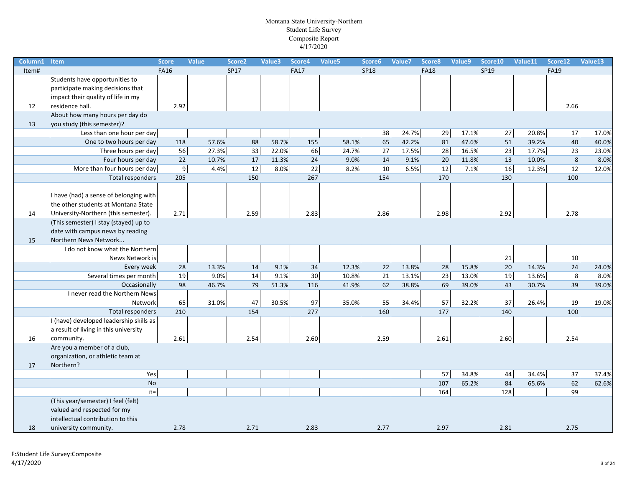| Column1 | Item                                    | <b>Score</b>   | <b>Value</b> | Score <sub>2</sub> | Value3 | Score4      | Value5 | Score6      | Value7 | Score8      | Value9 | Score10 | Value11 | Score12     | Value13 |
|---------|-----------------------------------------|----------------|--------------|--------------------|--------|-------------|--------|-------------|--------|-------------|--------|---------|---------|-------------|---------|
| Item#   |                                         | <b>FA16</b>    |              | SP17               |        | <b>FA17</b> |        | <b>SP18</b> |        | <b>FA18</b> |        | SP19    |         | <b>FA19</b> |         |
|         | Students have opportunities to          |                |              |                    |        |             |        |             |        |             |        |         |         |             |         |
|         | participate making decisions that       |                |              |                    |        |             |        |             |        |             |        |         |         |             |         |
|         | impact their quality of life in my      |                |              |                    |        |             |        |             |        |             |        |         |         |             |         |
| 12      | residence hall.                         | 2.92           |              |                    |        |             |        |             |        |             |        |         |         | 2.66        |         |
|         | About how many hours per day do         |                |              |                    |        |             |        |             |        |             |        |         |         |             |         |
| 13      | you study (this semester)?              |                |              |                    |        |             |        |             |        |             |        |         |         |             |         |
|         | Less than one hour per day              |                |              |                    |        |             |        | 38          | 24.7%  | 29          | 17.1%  | $27\,$  | 20.8%   | 17          | 17.0%   |
|         | One to two hours per day                | 118            | 57.6%        | 88                 | 58.7%  | 155         | 58.1%  | 65          | 42.2%  | 81          | 47.6%  | 51      | 39.2%   | 40          | 40.0%   |
|         | Three hours per day                     | 56             | 27.3%        | 33                 | 22.0%  | 66          | 24.7%  | 27          | 17.5%  | 28          | 16.5%  | 23      | 17.7%   | 23          | 23.0%   |
|         | Four hours per day                      | 22             | 10.7%        | 17                 | 11.3%  | 24          | 9.0%   | 14          | 9.1%   | 20          | 11.8%  | 13      | 10.0%   | 8           | 8.0%    |
|         | More than four hours per day            | $\overline{9}$ | 4.4%         | 12                 | 8.0%   | 22          | 8.2%   | 10          | 6.5%   | 12          | 7.1%   | 16      | 12.3%   | 12          | 12.0%   |
|         | Total responders                        | 205            |              | 150                |        | 267         |        | 154         |        | 170         |        | 130     |         | 100         |         |
|         | I have (had) a sense of belonging with  |                |              |                    |        |             |        |             |        |             |        |         |         |             |         |
|         | the other students at Montana State     |                |              |                    |        |             |        |             |        |             |        |         |         |             |         |
| 14      | University-Northern (this semester).    | 2.71           |              | 2.59               |        | 2.83        |        | 2.86        |        | 2.98        |        |         |         | 2.78        |         |
|         | (This semester) I stay (stayed) up to   |                |              |                    |        |             |        |             |        |             |        | 2.92    |         |             |         |
|         | date with campus news by reading        |                |              |                    |        |             |        |             |        |             |        |         |         |             |         |
| 15      | Northern News Network                   |                |              |                    |        |             |        |             |        |             |        |         |         |             |         |
|         | I do not know what the Northern         |                |              |                    |        |             |        |             |        |             |        |         |         |             |         |
|         | News Network is                         |                |              |                    |        |             |        |             |        |             |        | 21      |         | 10          |         |
|         | Every week                              | 28             | 13.3%        | 14                 | 9.1%   | 34          | 12.3%  | 22          | 13.8%  | 28          | 15.8%  | 20      | 14.3%   | 24          | 24.0%   |
|         | Several times per month                 | 19             | 9.0%         | 14                 | 9.1%   | 30          | 10.8%  | 21          | 13.1%  | 23          | 13.0%  | 19      | 13.6%   | 8           | 8.0%    |
|         | Occasionally                            | 98             | 46.7%        | 79                 | 51.3%  | 116         | 41.9%  | 62          | 38.8%  | 69          | 39.0%  | 43      | 30.7%   | 39          | 39.0%   |
|         | I never read the Northern News          |                |              |                    |        |             |        |             |        |             |        |         |         |             |         |
|         | Network                                 | 65             | 31.0%        | 47                 | 30.5%  | 97          | 35.0%  | 55          | 34.4%  | 57          | 32.2%  | 37      | 26.4%   | 19          | 19.0%   |
|         | <b>Total responders</b>                 | 210            |              | 154                |        | 277         |        | 160         |        | 177         |        | 140     |         | 100         |         |
|         | I (have) developed leadership skills as |                |              |                    |        |             |        |             |        |             |        |         |         |             |         |
|         | a result of living in this university   |                |              |                    |        |             |        |             |        |             |        |         |         |             |         |
| 16      | community.                              | 2.61           |              | 2.54               |        | 2.60        |        | 2.59        |        | 2.61        |        | 2.60    |         | 2.54        |         |
|         | Are you a member of a club,             |                |              |                    |        |             |        |             |        |             |        |         |         |             |         |
|         | organization, or athletic team at       |                |              |                    |        |             |        |             |        |             |        |         |         |             |         |
| 17      | Northern?                               |                |              |                    |        |             |        |             |        |             |        |         |         |             |         |
|         | Yes                                     |                |              |                    |        |             |        |             |        | 57          | 34.8%  | 44      | 34.4%   | 37          | 37.4%   |
|         | <b>No</b>                               |                |              |                    |        |             |        |             |        | 107         | 65.2%  | 84      | 65.6%   | 62          | 62.6%   |
|         | $n=$                                    |                |              |                    |        |             |        |             |        | 164         |        | 128     |         | 99          |         |
|         | (This year/semester) I feel (felt)      |                |              |                    |        |             |        |             |        |             |        |         |         |             |         |
|         | valued and respected for my             |                |              |                    |        |             |        |             |        |             |        |         |         |             |         |
|         | intellectual contribution to this       |                |              |                    |        |             |        |             |        |             |        |         |         |             |         |
| 18      | university community.                   | 2.78           |              | 2.71               |        | 2.83        |        | 2.77        |        | 2.97        |        | 2.81    |         | 2.75        |         |
|         |                                         |                |              |                    |        |             |        |             |        |             |        |         |         |             |         |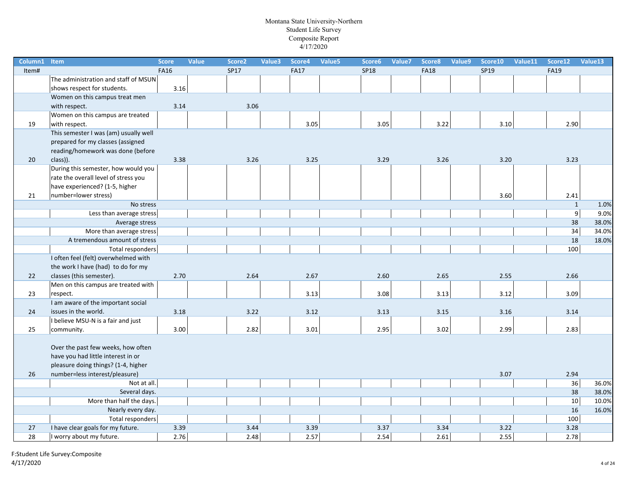| Column1 | <b>Item</b>                           | <b>Score</b> | Value | Score <sub>2</sub> | Value3 | Score4      | Value5 | Score6      | Value7 | Score8      | Value9 | Score10 | Value11 | Score12      | Value13 |
|---------|---------------------------------------|--------------|-------|--------------------|--------|-------------|--------|-------------|--------|-------------|--------|---------|---------|--------------|---------|
| Item#   |                                       | <b>FA16</b>  |       | SP17               |        | <b>FA17</b> |        | <b>SP18</b> |        | <b>FA18</b> |        | SP19    |         | <b>FA19</b>  |         |
|         | The administration and staff of MSUN  |              |       |                    |        |             |        |             |        |             |        |         |         |              |         |
|         | shows respect for students.           | 3.16         |       |                    |        |             |        |             |        |             |        |         |         |              |         |
|         | Women on this campus treat men        |              |       |                    |        |             |        |             |        |             |        |         |         |              |         |
|         | with respect.                         | 3.14         |       | 3.06               |        |             |        |             |        |             |        |         |         |              |         |
|         | Women on this campus are treated      |              |       |                    |        |             |        |             |        |             |        |         |         |              |         |
| 19      | with respect.                         |              |       |                    |        | 3.05        |        | 3.05        |        | 3.22        |        | 3.10    |         | 2.90         |         |
|         | This semester I was (am) usually well |              |       |                    |        |             |        |             |        |             |        |         |         |              |         |
|         | prepared for my classes (assigned     |              |       |                    |        |             |        |             |        |             |        |         |         |              |         |
|         | reading/homework was done (before     |              |       |                    |        |             |        |             |        |             |        |         |         |              |         |
| 20      | class)).                              | 3.38         |       | 3.26               |        | 3.25        |        | 3.29        |        | 3.26        |        | 3.20    |         | 3.23         |         |
|         | During this semester, how would you   |              |       |                    |        |             |        |             |        |             |        |         |         |              |         |
|         | rate the overall level of stress you  |              |       |                    |        |             |        |             |        |             |        |         |         |              |         |
|         | have experienced? (1-5, higher        |              |       |                    |        |             |        |             |        |             |        |         |         |              |         |
| 21      | number=lower stress)                  |              |       |                    |        |             |        |             |        |             |        | 3.60    |         | 2.41         |         |
|         | No stress                             |              |       |                    |        |             |        |             |        |             |        |         |         | $\mathbf{1}$ | 1.0%    |
|         | Less than average stress              |              |       |                    |        |             |        |             |        |             |        |         |         | 9            | 9.0%    |
|         | Average stress                        |              |       |                    |        |             |        |             |        |             |        |         |         | 38           | 38.0%   |
|         | More than average stress              |              |       |                    |        |             |        |             |        |             |        |         |         | 34           | 34.0%   |
|         | A tremendous amount of stress         |              |       |                    |        |             |        |             |        |             |        |         |         | 18           | 18.0%   |
|         | <b>Total responders</b>               |              |       |                    |        |             |        |             |        |             |        |         |         | 100          |         |
|         | I often feel (felt) overwhelmed with  |              |       |                    |        |             |        |             |        |             |        |         |         |              |         |
|         | the work I have (had) to do for my    |              |       |                    |        |             |        |             |        |             |        |         |         |              |         |
| 22      | classes (this semester).              | 2.70         |       | 2.64               |        | 2.67        |        | 2.60        |        | 2.65        |        | 2.55    |         | 2.66         |         |
|         | Men on this campus are treated with   |              |       |                    |        |             |        |             |        |             |        |         |         |              |         |
| 23      | respect.                              |              |       |                    |        | 3.13        |        | 3.08        |        | 3.13        |        | 3.12    |         | 3.09         |         |
|         | I am aware of the important social    |              |       |                    |        |             |        |             |        |             |        |         |         |              |         |
| 24      | issues in the world.                  | 3.18         |       | 3.22               |        | 3.12        |        | 3.13        |        | 3.15        |        | 3.16    |         | 3.14         |         |
|         | I believe MSU-N is a fair and just    |              |       |                    |        |             |        |             |        |             |        |         |         |              |         |
| 25      | community.                            | 3.00         |       | 2.82               |        | 3.01        |        | 2.95        |        | 3.02        |        | 2.99    |         | 2.83         |         |
|         |                                       |              |       |                    |        |             |        |             |        |             |        |         |         |              |         |
|         | Over the past few weeks, how often    |              |       |                    |        |             |        |             |        |             |        |         |         |              |         |
|         | have you had little interest in or    |              |       |                    |        |             |        |             |        |             |        |         |         |              |         |
|         | pleasure doing things? (1-4, higher   |              |       |                    |        |             |        |             |        |             |        |         |         |              |         |
| 26      | number=less interest/pleasure)        |              |       |                    |        |             |        |             |        |             |        | 3.07    |         | 2.94         |         |
|         | Not at all.                           |              |       |                    |        |             |        |             |        |             |        |         |         | 36           | 36.0%   |
|         | Several days.                         |              |       |                    |        |             |        |             |        |             |        |         |         | 38           | 38.0%   |
|         | More than half the days.              |              |       |                    |        |             |        |             |        |             |        |         |         | 10           | 10.0%   |
|         | Nearly every day.                     |              |       |                    |        |             |        |             |        |             |        |         |         | 16           | 16.0%   |
|         | Total responders                      |              |       |                    |        |             |        |             |        |             |        |         |         | 100          |         |
| 27      | I have clear goals for my future.     | 3.39         |       | 3.44               |        | 3.39        |        | 3.37        |        | 3.34        |        | 3.22    |         | 3.28         |         |
| 28      | I worry about my future.              | 2.76         |       | 2.48               |        | 2.57        |        | 2.54        |        | 2.61        |        | 2.55    |         | 2.78         |         |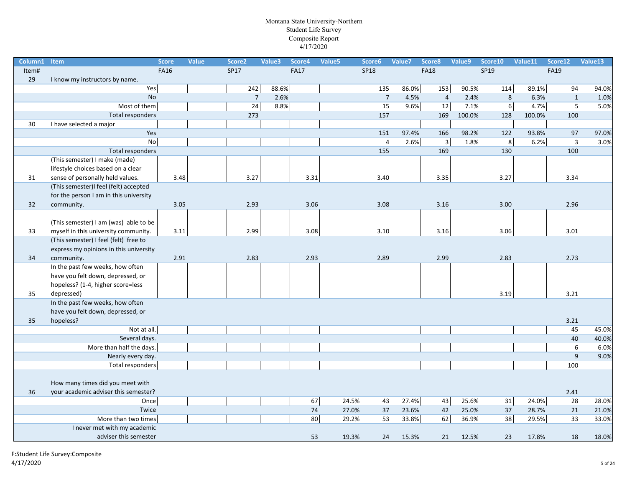| Column1 | Item                                   | <b>Score</b> | <b>Value</b> | Score <sub>2</sub> | Value3 | Score4      | Value5 | Score6         | Value7 | Score8         | Value9 | Score10        | Value11 | Score12                 | Value13 |
|---------|----------------------------------------|--------------|--------------|--------------------|--------|-------------|--------|----------------|--------|----------------|--------|----------------|---------|-------------------------|---------|
| Item#   |                                        | <b>FA16</b>  |              | SP17               |        | <b>FA17</b> |        | <b>SP18</b>    |        | <b>FA18</b>    |        | SP19           |         | <b>FA19</b>             |         |
| 29      | I know my instructors by name.         |              |              |                    |        |             |        |                |        |                |        |                |         |                         |         |
|         | Yes                                    |              |              | 242                | 88.6%  |             |        | 135            | 86.0%  | 153            | 90.5%  | 114            | 89.1%   | 94                      | 94.0%   |
|         | <b>No</b>                              |              |              | $\overline{7}$     | 2.6%   |             |        | $\overline{7}$ | 4.5%   | $\overline{4}$ | 2.4%   | 8              | 6.3%    | $\mathbf{1}$            | 1.0%    |
|         | Most of them                           |              |              | 24                 | 8.8%   |             |        | 15             | 9.6%   | 12             | 7.1%   | $6 \mid$       | 4.7%    | $\overline{\mathbf{5}}$ | 5.0%    |
|         | Total responders                       |              |              | 273                |        |             |        | 157            |        | 169            | 100.0% | 128            | 100.0%  | 100                     |         |
| 30      | I have selected a major                |              |              |                    |        |             |        |                |        |                |        |                |         |                         |         |
|         | Yes                                    |              |              |                    |        |             |        | 151            | 97.4%  | 166            | 98.2%  | 122            | 93.8%   | 97                      | 97.0%   |
|         | No                                     |              |              |                    |        |             |        | $\sqrt{4}$     | 2.6%   | $\overline{3}$ | 1.8%   | 8 <sup>1</sup> | 6.2%    | $\overline{3}$          | 3.0%    |
|         | Total responders                       |              |              |                    |        |             |        | 155            |        | 169            |        | 130            |         | 100                     |         |
|         | (This semester) I make (made)          |              |              |                    |        |             |        |                |        |                |        |                |         |                         |         |
|         | lifestyle choices based on a clear     |              |              |                    |        |             |        |                |        |                |        |                |         |                         |         |
| 31      | sense of personally held values.       | 3.48         |              | 3.27               |        | 3.31        |        | 3.40           |        | 3.35           |        | 3.27           |         | 3.34                    |         |
|         | (This semester)I feel (felt) accepted  |              |              |                    |        |             |        |                |        |                |        |                |         |                         |         |
|         | for the person I am in this university |              |              |                    |        |             |        |                |        |                |        |                |         |                         |         |
| 32      | community.                             | 3.05         |              | 2.93               |        | 3.06        |        | 3.08           |        | 3.16           |        | 3.00           |         | 2.96                    |         |
|         |                                        |              |              |                    |        |             |        |                |        |                |        |                |         |                         |         |
|         | (This semester) I am (was) able to be  |              |              |                    |        |             |        |                |        |                |        |                |         |                         |         |
| 33      | myself in this university community.   | 3.11         |              | 2.99               |        | 3.08        |        | 3.10           |        | 3.16           |        | 3.06           |         | 3.01                    |         |
|         | (This semester) I feel (felt) free to  |              |              |                    |        |             |        |                |        |                |        |                |         |                         |         |
|         | express my opinions in this university |              |              |                    |        |             |        |                |        |                |        |                |         |                         |         |
| 34      | community.                             | 2.91         |              | 2.83               |        | 2.93        |        | 2.89           |        | 2.99           |        | 2.83           |         | 2.73                    |         |
|         | In the past few weeks, how often       |              |              |                    |        |             |        |                |        |                |        |                |         |                         |         |
|         | have you felt down, depressed, or      |              |              |                    |        |             |        |                |        |                |        |                |         |                         |         |
|         | hopeless? (1-4, higher score=less      |              |              |                    |        |             |        |                |        |                |        |                |         |                         |         |
| 35      | depressed)                             |              |              |                    |        |             |        |                |        |                |        | 3.19           |         | 3.21                    |         |
|         | In the past few weeks, how often       |              |              |                    |        |             |        |                |        |                |        |                |         |                         |         |
|         | have you felt down, depressed, or      |              |              |                    |        |             |        |                |        |                |        |                |         |                         |         |
| 35      | hopeless?                              |              |              |                    |        |             |        |                |        |                |        |                |         | 3.21                    |         |
|         | Not at all.                            |              |              |                    |        |             |        |                |        |                |        |                |         | 45                      | 45.0%   |
|         | Several days.                          |              |              |                    |        |             |        |                |        |                |        |                |         | 40                      | 40.0%   |
|         | More than half the days.               |              |              |                    |        |             |        |                |        |                |        |                |         | $\overline{6}$          | 6.0%    |
|         | Nearly every day.                      |              |              |                    |        |             |        |                |        |                |        |                |         | 9                       | 9.0%    |
|         | Total responders                       |              |              |                    |        |             |        |                |        |                |        |                |         | 100                     |         |
|         |                                        |              |              |                    |        |             |        |                |        |                |        |                |         |                         |         |
|         | How many times did you meet with       |              |              |                    |        |             |        |                |        |                |        |                |         |                         |         |
| 36      | your academic adviser this semester?   |              |              |                    |        |             |        |                |        |                |        |                |         | 2.41                    |         |
|         | Once                                   |              |              |                    |        | 67          |        | 24.5%<br>43    | 27.4%  | 43             | 25.6%  | 31             | 24.0%   | 28                      | 28.0%   |
|         | Twice                                  |              |              |                    |        | 74          | 27.0%  | 37             | 23.6%  | 42             | 25.0%  | 37             | 28.7%   | 21                      | 21.0%   |
|         | More than two times                    |              |              |                    |        | 80          |        | 29.2%<br>53    | 33.8%  | 62             | 36.9%  | 38             | 29.5%   | 33                      | 33.0%   |
|         | I never met with my academic           |              |              |                    |        |             |        |                |        |                |        |                |         |                         |         |
|         | adviser this semester                  |              |              |                    |        | 53          | 19.3%  | 24             | 15.3%  | 21             | 12.5%  | 23             | 17.8%   | 18                      | 18.0%   |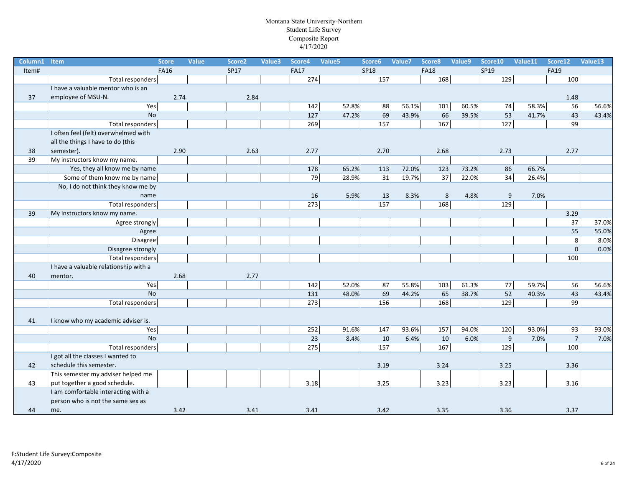| Column1 | Item                                  | <b>Score</b> | <b>Value</b> | Score <sub>2</sub> | Value3 | Score4      | Value <sub>5</sub> | Score6      | Value7 | Score8      | Value9 | Score10 | Value11 | Score12        | Value13 |
|---------|---------------------------------------|--------------|--------------|--------------------|--------|-------------|--------------------|-------------|--------|-------------|--------|---------|---------|----------------|---------|
| Item#   |                                       | <b>FA16</b>  |              | <b>SP17</b>        |        | <b>FA17</b> |                    | <b>SP18</b> |        | <b>FA18</b> |        | SP19    |         | <b>FA19</b>    |         |
|         | Total responders                      |              |              |                    |        | 274         |                    | 157         |        | 168         |        | 129     |         | 100            |         |
|         | I have a valuable mentor who is an    |              |              |                    |        |             |                    |             |        |             |        |         |         |                |         |
| 37      | employee of MSU-N.                    | 2.74         |              | 2.84               |        |             |                    |             |        |             |        |         |         | 1.48           |         |
|         | Yes                                   |              |              |                    |        | 142         | 52.8%              | 88          | 56.1%  | 101         | 60.5%  | 74      | 58.3%   | 56             | 56.6%   |
|         | No                                    |              |              |                    |        | 127         | 47.2%              | 69          | 43.9%  | 66          | 39.5%  | 53      | 41.7%   | 43             | 43.4%   |
|         | Total responders                      |              |              |                    |        | 269         |                    | 157         |        | 167         |        | 127     |         | 99             |         |
|         | I often feel (felt) overwhelmed with  |              |              |                    |        |             |                    |             |        |             |        |         |         |                |         |
|         | all the things I have to do (this     |              |              |                    |        |             |                    |             |        |             |        |         |         |                |         |
| 38      | semester).                            | 2.90         |              | 2.63               |        | 2.77        |                    | 2.70        |        | 2.68        |        | 2.73    |         | 2.77           |         |
| 39      | My instructors know my name.          |              |              |                    |        |             |                    |             |        |             |        |         |         |                |         |
|         | Yes, they all know me by name         |              |              |                    |        | 178         | 65.2%              | 113         | 72.0%  | 123         | 73.2%  | 86      | 66.7%   |                |         |
|         | Some of them know me by name          |              |              |                    |        | 79          | 28.9%              | 31          | 19.7%  | 37          | 22.0%  | 34      | 26.4%   |                |         |
|         | No, I do not think they know me by    |              |              |                    |        |             |                    |             |        |             |        |         |         |                |         |
|         | name                                  |              |              |                    |        | 16          | 5.9%               | 13          | 8.3%   | 8           | 4.8%   | 9       | 7.0%    |                |         |
|         | Total responders                      |              |              |                    |        | 273         |                    | 157         |        | 168         |        | 129     |         |                |         |
| 39      | My instructors know my name.          |              |              |                    |        |             |                    |             |        |             |        |         |         | 3.29           |         |
|         | Agree strongly                        |              |              |                    |        |             |                    |             |        |             |        |         |         | 37             | 37.0%   |
|         | Agree                                 |              |              |                    |        |             |                    |             |        |             |        |         |         | 55             | 55.0%   |
|         | <b>Disagree</b>                       |              |              |                    |        |             |                    |             |        |             |        |         |         | $\overline{8}$ | 8.0%    |
|         | Disagree strongly                     |              |              |                    |        |             |                    |             |        |             |        |         |         | $\mathbf 0$    | 0.0%    |
|         | Total responders                      |              |              |                    |        |             |                    |             |        |             |        |         |         | 100            |         |
|         | I have a valuable relationship with a |              |              |                    |        |             |                    |             |        |             |        |         |         |                |         |
| 40      | mentor.                               | 2.68         |              | 2.77               |        |             |                    |             |        |             |        |         |         |                |         |
|         | Yes                                   |              |              |                    |        | $142$       | 52.0%              | 87          | 55.8%  | 103         | 61.3%  | 77      | 59.7%   | 56             | 56.6%   |
|         | <b>No</b>                             |              |              |                    |        | 131         | 48.0%              | 69          | 44.2%  | 65          | 38.7%  | 52      | 40.3%   | 43             | 43.4%   |
|         | Total responders                      |              |              |                    |        | 273         |                    | 156         |        | 168         |        | 129     |         | 99             |         |
|         |                                       |              |              |                    |        |             |                    |             |        |             |        |         |         |                |         |
| 41      | I know who my academic adviser is.    |              |              |                    |        |             |                    |             |        |             |        |         |         |                |         |
|         | Yes                                   |              |              |                    |        | 252         | 91.6%              | 147         | 93.6%  | 157         | 94.0%  | 120     | 93.0%   | 93             | 93.0%   |
|         | <b>No</b>                             |              |              |                    |        | 23          | 8.4%               | 10          | 6.4%   | 10          | 6.0%   | 9       | 7.0%    | $\overline{7}$ | 7.0%    |
|         | Total responders                      |              |              |                    |        | 275         |                    | 157         |        | 167         |        | 129     |         | 100            |         |
|         | I got all the classes I wanted to     |              |              |                    |        |             |                    |             |        |             |        |         |         |                |         |
| 42      | schedule this semester.               |              |              |                    |        |             |                    | 3.19        |        | 3.24        |        | 3.25    |         | 3.36           |         |
|         | This semester my adviser helped me    |              |              |                    |        |             |                    |             |        |             |        |         |         |                |         |
| 43      | put together a good schedule.         |              |              |                    |        | 3.18        |                    | 3.25        |        | 3.23        |        | 3.23    |         | 3.16           |         |
|         | I am comfortable interacting with a   |              |              |                    |        |             |                    |             |        |             |        |         |         |                |         |
|         | person who is not the same sex as     |              |              |                    |        |             |                    |             |        |             |        |         |         |                |         |
| 44      | me.                                   | 3.42         |              | 3.41               |        | 3.41        |                    | 3.42        |        | 3.35        |        | 3.36    |         | 3.37           |         |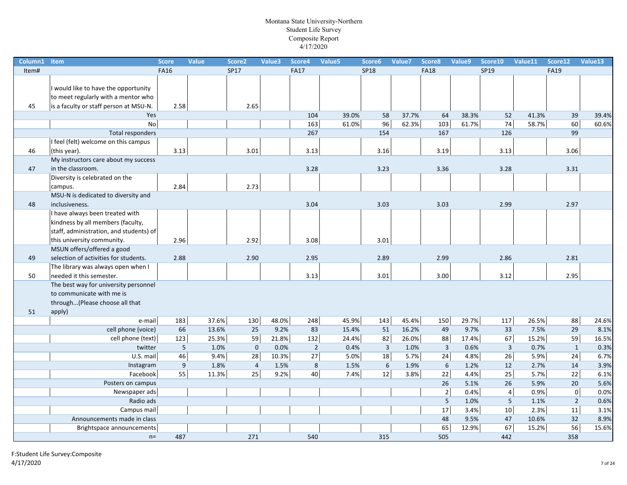| Column1 | Item                                    | <b>Score</b> | <b>Value</b> | Score <sub>2</sub> | Value3 | Score4         | Value5 | Score6         | Value7 | Score8         | Value9 | Score10        | Value11 | Score12        | Value13 |
|---------|-----------------------------------------|--------------|--------------|--------------------|--------|----------------|--------|----------------|--------|----------------|--------|----------------|---------|----------------|---------|
| Item#   |                                         | <b>FA16</b>  |              | <b>SP17</b>        |        | <b>FA17</b>    |        | <b>SP18</b>    |        | <b>FA18</b>    |        | SP19           |         | <b>FA19</b>    |         |
|         |                                         |              |              |                    |        |                |        |                |        |                |        |                |         |                |         |
|         | would like to have the opportunity      |              |              |                    |        |                |        |                |        |                |        |                |         |                |         |
|         | to meet regularly with a mentor who     |              |              |                    |        |                |        |                |        |                |        |                |         |                |         |
| 45      | is a faculty or staff person at MSU-N.  | 2.58         |              | 2.65               |        |                |        |                |        |                |        |                |         |                |         |
|         | Yes                                     |              |              |                    |        | 104            | 39.0%  | 58             | 37.7%  | 64             | 38.3%  | 52             | 41.3%   | 39             | 39.4%   |
|         | <b>No</b>                               |              |              |                    |        | 163            | 61.0%  | 96             | 62.3%  | 103            | 61.7%  | 74             | 58.7%   | 60             | 60.6%   |
|         | Total responders                        |              |              |                    |        | 267            |        | 154            |        | 167            |        | 126            |         | 99             |         |
|         | I feel (felt) welcome on this campus    |              |              |                    |        |                |        |                |        |                |        |                |         |                |         |
| 46      | (this year).                            | 3.13         |              | 3.01               |        | 3.13           |        | 3.16           |        | 3.19           |        | 3.13           |         | 3.06           |         |
|         | My instructors care about my success    |              |              |                    |        |                |        |                |        |                |        |                |         |                |         |
| 47      | in the classroom.                       |              |              |                    |        | 3.28           |        | 3.23           |        | 3.36           |        | 3.28           |         | 3.31           |         |
|         | Diversity is celebrated on the          |              |              |                    |        |                |        |                |        |                |        |                |         |                |         |
|         | campus.                                 | 2.84         |              | 2.73               |        |                |        |                |        |                |        |                |         |                |         |
|         | MSU-N is dedicated to diversity and     |              |              |                    |        |                |        |                |        |                |        |                |         |                |         |
| 48      | inclusiveness.                          |              |              |                    |        | 3.04           |        | 3.03           |        | 3.03           |        | 2.99           |         | 2.97           |         |
|         | I have always been treated with         |              |              |                    |        |                |        |                |        |                |        |                |         |                |         |
|         | kindness by all members (faculty,       |              |              |                    |        |                |        |                |        |                |        |                |         |                |         |
|         | staff, administration, and students) of |              |              |                    |        |                |        |                |        |                |        |                |         |                |         |
|         | this university community.              | 2.96         |              | 2.92               |        | 3.08           |        | 3.01           |        |                |        |                |         |                |         |
|         | MSUN offers/offered a good              |              |              |                    |        |                |        |                |        |                |        |                |         |                |         |
| 49      | selection of activities for students.   | 2.88         |              | 2.90               |        | 2.95           |        | 2.89           |        | 2.99           |        | 2.86           |         | 2.81           |         |
|         | The library was always open when I      |              |              |                    |        |                |        |                |        |                |        |                |         |                |         |
| 50      | needed it this semester.                |              |              |                    |        | 3.13           |        | 3.01           |        | 3.00           |        | 3.12           |         | 2.95           |         |
|         | The best way for university personnel   |              |              |                    |        |                |        |                |        |                |        |                |         |                |         |
|         | to communicate with me is               |              |              |                    |        |                |        |                |        |                |        |                |         |                |         |
|         | through(Please choose all that          |              |              |                    |        |                |        |                |        |                |        |                |         |                |         |
| 51      | apply)                                  |              |              |                    |        |                |        |                |        |                |        |                |         |                |         |
|         | e-mail                                  | 183          | 37.6%        | 130                | 48.0%  | 248            | 45.9%  | 143            | 45.4%  | 150            | 29.7%  | 117            | 26.5%   | 88             | 24.6%   |
|         | cell phone (voice)                      | 66           | 13.6%        | 25                 | 9.2%   | 83             | 15.4%  | 51             | 16.2%  | 49             | 9.7%   | 33             | 7.5%    | 29             | 8.1%    |
|         | cell phone (text)                       | 123          | 25.3%        | 59                 | 21.8%  | 132            | 24.4%  | 82             | 26.0%  | 88             | 17.4%  | 67             | 15.2%   | 59             | 16.5%   |
|         | twitter                                 | 5            | 1.0%         | $\mathbf 0$        | 0.0%   | $\overline{2}$ | 0.4%   | $\overline{3}$ | 1.0%   | $\overline{3}$ | 0.6%   | $\overline{3}$ | 0.7%    | $\mathbf{1}$   | 0.3%    |
|         | U.S. mail                               | 46           | 9.4%         | 28                 | 10.3%  | 27             | 5.0%   | 18             | 5.7%   | 24             | 4.8%   | 26             | 5.9%    | 24             | 6.7%    |
|         | Instagram                               | $9\,$        | 1.8%         | $\overline{4}$     | 1.5%   | 8              | 1.5%   | $\sqrt{6}$     | 1.9%   | 6              | 1.2%   | 12             | 2.7%    | 14             | 3.9%    |
|         | Facebook                                | 55           | 11.3%        | 25                 | 9.2%   | 40             | 7.4%   | 12             | 3.8%   | 22             | 4.4%   | 25             | 5.7%    | 22             | 6.1%    |
|         | Posters on campus                       |              |              |                    |        |                |        |                |        | 26             | 5.1%   | 26             | 5.9%    | 20             | 5.6%    |
|         | Newspaper ads                           |              |              |                    |        |                |        |                |        | $\overline{2}$ | 0.4%   | $\vert$        | 0.9%    | 0              | 0.0%    |
|         | Radio ads                               |              |              |                    |        |                |        |                |        | 5              | 1.0%   | 5              | 1.1%    | $\overline{2}$ | 0.6%    |
|         | Campus mail                             |              |              |                    |        |                |        |                |        | 17             | 3.4%   | 10             | 2.3%    | 11             | 3.1%    |
|         | Announcements made in class             |              |              |                    |        |                |        |                |        | 48             | 9.5%   | 47             | 10.6%   | 32             | 8.9%    |
|         | Brightspace announcements               |              |              |                    |        |                |        |                |        | 65             | 12.9%  | 67             | 15.2%   | 56             | 15.6%   |
|         | $n=$                                    | 487          |              | 271                |        | 540            |        | 315            |        | 505            |        | 442            |         | 358            |         |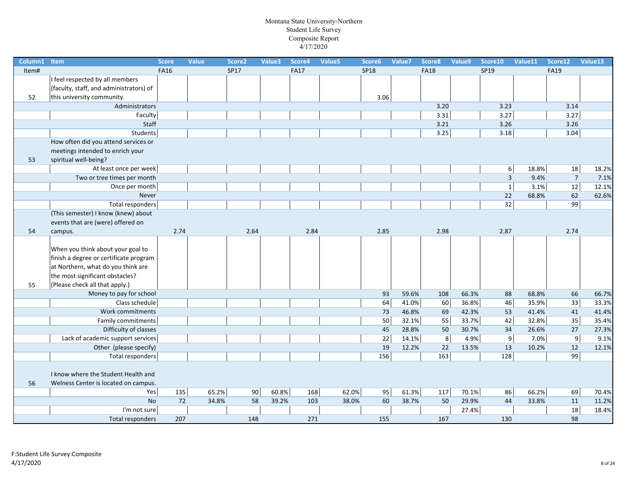| Column1 | Item                                    | <b>Score</b> | <b>Value</b> | Score <sub>2</sub> | Value3 | Score4      | Value5 | Score6      | Value7 | Score8      | Value9 | Score10 | Value11                | Score12        | Value13 |
|---------|-----------------------------------------|--------------|--------------|--------------------|--------|-------------|--------|-------------|--------|-------------|--------|---------|------------------------|----------------|---------|
| Item#   |                                         | <b>FA16</b>  |              | <b>SP17</b>        |        | <b>FA17</b> |        | <b>SP18</b> |        | <b>FA18</b> |        | SP19    |                        | <b>FA19</b>    |         |
|         | I feel respected by all members         |              |              |                    |        |             |        |             |        |             |        |         |                        |                |         |
|         | (faculty, staff, and administrators) of |              |              |                    |        |             |        |             |        |             |        |         |                        |                |         |
| 52      | this university community.              |              |              |                    |        |             |        | 3.06        |        |             |        |         |                        |                |         |
|         | Administrators                          |              |              |                    |        |             |        |             |        | 3.20        |        | 3.23    |                        | 3.14           |         |
|         | Faculty                                 |              |              |                    |        |             |        |             |        | 3.31        |        | $3.27$  |                        | 3.27           |         |
|         | Staff                                   |              |              |                    |        |             |        |             |        | 3.21        |        | 3.26    |                        | 3.26           |         |
|         | Students                                |              |              |                    |        |             |        |             |        | 3.25        |        | 3.18    |                        | 3.04           |         |
|         | How often did you attend services or    |              |              |                    |        |             |        |             |        |             |        |         |                        |                |         |
|         | meetings intended to enrich your        |              |              |                    |        |             |        |             |        |             |        |         |                        |                |         |
| 53      | spiritual well-being?                   |              |              |                    |        |             |        |             |        |             |        |         |                        |                |         |
|         | At least once per week                  |              |              |                    |        |             |        |             |        |             |        |         | 18.8%<br>$6 \mid$      | 18             | 18.2%   |
|         | Two or tree times per month             |              |              |                    |        |             |        |             |        |             |        |         | $\overline{3}$<br>9.4% | $\overline{7}$ | 7.1%    |
|         | Once per month                          |              |              |                    |        |             |        |             |        |             |        |         | $\overline{1}$<br>3.1% | 12             | 12.1%   |
|         | Never                                   |              |              |                    |        |             |        |             |        |             |        | 22      | 68.8%                  | 62             | 62.6%   |
|         | Total responders                        |              |              |                    |        |             |        |             |        |             |        | 32      |                        | 99             |         |
|         | (This semester) I know (knew) about     |              |              |                    |        |             |        |             |        |             |        |         |                        |                |         |
|         | events that are (were) offered on       |              |              |                    |        |             |        |             |        |             |        |         |                        |                |         |
| 54      | campus.                                 | 2.74         |              | 2.64               |        | 2.84        |        | 2.85        |        | 2.98        |        | 2.87    |                        | 2.74           |         |
|         |                                         |              |              |                    |        |             |        |             |        |             |        |         |                        |                |         |
|         | When you think about your goal to       |              |              |                    |        |             |        |             |        |             |        |         |                        |                |         |
|         | finish a degree or certificate program  |              |              |                    |        |             |        |             |        |             |        |         |                        |                |         |
|         | at Northern, what do you think are      |              |              |                    |        |             |        |             |        |             |        |         |                        |                |         |
|         | the most significant obstacles?         |              |              |                    |        |             |        |             |        |             |        |         |                        |                |         |
| 55      | (Please check all that apply.)          |              |              |                    |        |             |        |             |        |             |        |         |                        |                |         |
|         | Money to pay for school                 |              |              |                    |        |             |        | 93          | 59.6%  | 108         | 66.3%  | 88      | 68.8%                  | 66             | 66.7%   |
|         | Class schedule                          |              |              |                    |        |             |        | 64          | 41.0%  | 60          | 36.8%  | 46      | 35.9%                  | 33             | 33.3%   |
|         | Work commitments                        |              |              |                    |        |             |        | 73          | 46.8%  | 69          | 42.3%  | 53      | 41.4%                  | 41             | 41.4%   |
|         | Family commitments                      |              |              |                    |        |             |        | 50          | 32.1%  | 55          | 33.7%  | 42      | 32.8%                  | 35             | 35.4%   |
|         | Difficulty of classes                   |              |              |                    |        |             |        | 45          | 28.8%  | 50          | 30.7%  | 34      | 26.6%                  | 27             | 27.3%   |
|         | Lack of academic support services       |              |              |                    |        |             |        | 22          | 14.1%  | 8           | 4.9%   |         | 9<br>7.0%              | 9              | 9.1%    |
|         | Other (please specify)                  |              |              |                    |        |             |        | 19          | 12.2%  | 22          | 13.5%  | 13      | 10.2%                  | 12             | 12.1%   |
|         | <b>Total responders</b>                 |              |              |                    |        |             |        | 156         |        | 163         |        | 128     |                        | 99             |         |
|         |                                         |              |              |                    |        |             |        |             |        |             |        |         |                        |                |         |
|         | I know where the Student Health and     |              |              |                    |        |             |        |             |        |             |        |         |                        |                |         |
| 56      | Welness Center is located on campus.    |              |              |                    |        |             |        |             |        |             |        |         |                        |                |         |
|         | Yes                                     | 135          | 65.2%        | 90                 | 60.8%  | 168         | 62.0%  | 95          | 61.3%  | 117         | 70.1%  | 86      | 66.2%                  | 69             | 70.4%   |
|         | <b>No</b>                               | 72           | 34.8%        | 58                 | 39.2%  | 103         | 38.0%  | 60          | 38.7%  | 50          | 29.9%  | 44      | 33.8%                  | 11             | 11.2%   |
|         | I'm not sure                            |              |              |                    |        |             |        |             |        |             | 27.4%  |         |                        | 18             | 18.4%   |
|         | Total responders                        | 207          |              | 148                |        | 271         |        | 155         |        | 167         |        | 130     |                        | 98             |         |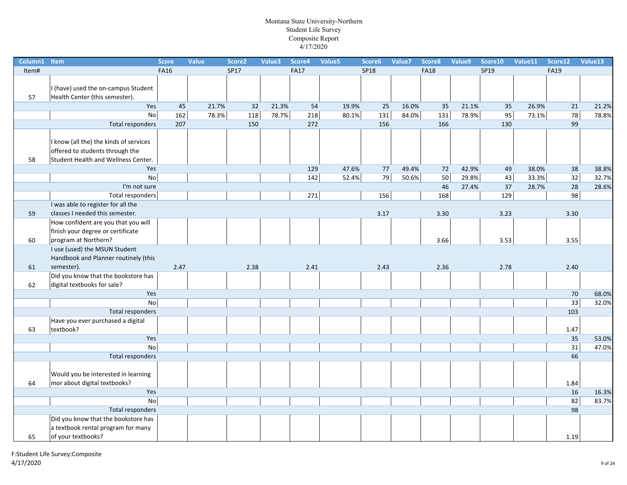| Column1 | Item                                   | <b>Score</b> | Value | Score <sub>2</sub> | Value3 | Score4      | Value5 | Score6      | Value7 | Score8      | Value9 | Score10 | Value11 | Score12     | Value13 |
|---------|----------------------------------------|--------------|-------|--------------------|--------|-------------|--------|-------------|--------|-------------|--------|---------|---------|-------------|---------|
| Item#   |                                        | <b>FA16</b>  |       | SP17               |        | <b>FA17</b> |        | <b>SP18</b> |        | <b>FA18</b> |        | SP19    |         | <b>FA19</b> |         |
|         |                                        |              |       |                    |        |             |        |             |        |             |        |         |         |             |         |
|         | I (have) used the on-campus Student    |              |       |                    |        |             |        |             |        |             |        |         |         |             |         |
| 57      | Health Center (this semester).         |              |       |                    |        |             |        |             |        |             |        |         |         |             |         |
|         | Yes                                    | 45           | 21.7% | 32                 | 21.3%  | 54          | 19.9%  | 25          | 16.0%  | 35          | 21.1%  | 35      | 26.9%   | 21          | 21.2%   |
|         | <b>No</b>                              | $162$        | 78.3% | 118                | 78.7%  | 218         | 80.1%  | 131         | 84.0%  | 131         | 78.9%  | 95      | 73.1%   | 78          | 78.8%   |
|         | <b>Total responders</b>                | 207          |       | 150                |        | 272         |        | 156         |        | 166         |        | 130     |         | 99          |         |
|         |                                        |              |       |                    |        |             |        |             |        |             |        |         |         |             |         |
|         | I know (all the) the kinds of services |              |       |                    |        |             |        |             |        |             |        |         |         |             |         |
|         | offered to students through the        |              |       |                    |        |             |        |             |        |             |        |         |         |             |         |
| 58      | Student Health and Wellness Center.    |              |       |                    |        |             |        |             |        |             |        |         |         |             |         |
|         | Yes                                    |              |       |                    |        | 129         | 47.6%  | 77          | 49.4%  | 72          | 42.9%  | 49      | 38.0%   | 38          | 38.8%   |
|         | No                                     |              |       |                    |        | 142         | 52.4%  | 79          | 50.6%  | 50          | 29.8%  | 43      | 33.3%   | 32          | 32.7%   |
|         | I'm not sure                           |              |       |                    |        |             |        |             |        | 46          | 27.4%  | 37      | 28.7%   | 28          | 28.6%   |
|         | Total responders                       |              |       |                    |        | 271         |        | 156         |        | 168         |        | 129     |         | 98          |         |
|         | I was able to register for all the     |              |       |                    |        |             |        |             |        |             |        |         |         |             |         |
| 59      | classes I needed this semester.        |              |       |                    |        |             |        | 3.17        |        | 3.30        |        | 3.23    |         | 3.30        |         |
|         | How confident are you that you will    |              |       |                    |        |             |        |             |        |             |        |         |         |             |         |
|         | finish your degree or certificate      |              |       |                    |        |             |        |             |        |             |        |         |         |             |         |
| 60      | program at Northern?                   |              |       |                    |        |             |        |             |        | 3.66        |        | 3.53    |         | 3.55        |         |
|         | I use (used) the MSUN Student          |              |       |                    |        |             |        |             |        |             |        |         |         |             |         |
|         | Handbook and Planner routinely (this   |              |       |                    |        |             |        |             |        |             |        |         |         |             |         |
| 61      | semester).                             | 2.47         |       | 2.38               |        | 2.41        |        | 2.43        |        | 2.36        |        | 2.78    |         | 2.40        |         |
|         | Did you know that the bookstore has    |              |       |                    |        |             |        |             |        |             |        |         |         |             |         |
| 62      | digital textbooks for sale?            |              |       |                    |        |             |        |             |        |             |        |         |         |             |         |
|         | Yes                                    |              |       |                    |        |             |        |             |        |             |        |         |         | 70          | 68.0%   |
|         | <b>No</b>                              |              |       |                    |        |             |        |             |        |             |        |         |         | 33          | 32.0%   |
|         | Total responders                       |              |       |                    |        |             |        |             |        |             |        |         |         | 103         |         |
|         | Have you ever purchased a digital      |              |       |                    |        |             |        |             |        |             |        |         |         |             |         |
| 63      | textbook?                              |              |       |                    |        |             |        |             |        |             |        |         |         | 1.47        |         |
|         | Yes                                    |              |       |                    |        |             |        |             |        |             |        |         |         | 35          | 53.0%   |
|         | <b>No</b>                              |              |       |                    |        |             |        |             |        |             |        |         |         | 31          | 47.0%   |
|         | <b>Total responders</b>                |              |       |                    |        |             |        |             |        |             |        |         |         | 66          |         |
|         |                                        |              |       |                    |        |             |        |             |        |             |        |         |         |             |         |
|         | Would you be interested in learning    |              |       |                    |        |             |        |             |        |             |        |         |         |             |         |
| 64      | mor about digital textbooks?           |              |       |                    |        |             |        |             |        |             |        |         |         | 1.84        |         |
|         | Yes                                    |              |       |                    |        |             |        |             |        |             |        |         |         | 16          | 16.3%   |
|         | <b>No</b>                              |              |       |                    |        |             |        |             |        |             |        |         |         | 82          | 83.7%   |
|         | Total responders                       |              |       |                    |        |             |        |             |        |             |        |         |         | 98          |         |
|         | Did you know that the bookstore has    |              |       |                    |        |             |        |             |        |             |        |         |         |             |         |
|         | a textbook rental program for many     |              |       |                    |        |             |        |             |        |             |        |         |         |             |         |
| 65      | of your textbooks?                     |              |       |                    |        |             |        |             |        |             |        |         |         | 1.19        |         |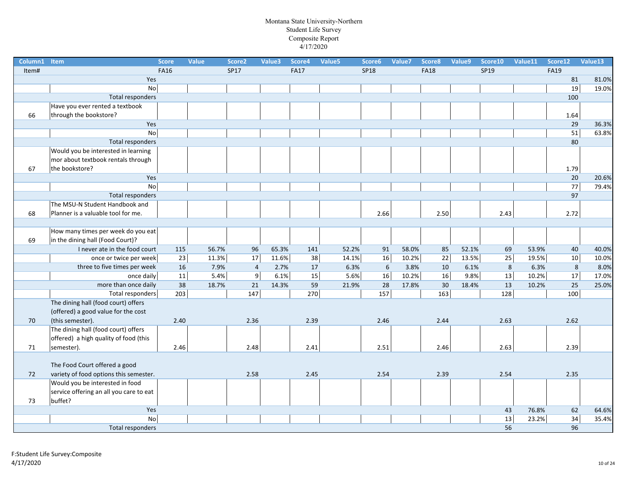| Column1 | Item                                    | <b>Score</b> | Value       | Score <sub>2</sub> | Value3 | Score4      | Value5 | Score6      | Value7 | Score8        | Value9 | Score10 | Value11 | Score12         | Value13 |
|---------|-----------------------------------------|--------------|-------------|--------------------|--------|-------------|--------|-------------|--------|---------------|--------|---------|---------|-----------------|---------|
| Item#   |                                         | <b>FA16</b>  |             | SP17               |        | <b>FA17</b> |        | <b>SP18</b> |        | <b>FA18</b>   |        | SP19    |         | <b>FA19</b>     |         |
|         | Yes                                     |              |             |                    |        |             |        |             |        |               |        |         |         | 81              | 81.0%   |
|         | <b>No</b>                               |              |             |                    |        |             |        |             |        |               |        |         |         | 19              | 19.0%   |
|         | Total responders                        |              |             |                    |        |             |        |             |        |               |        |         |         | 100             |         |
|         | Have you ever rented a textbook         |              |             |                    |        |             |        |             |        |               |        |         |         |                 |         |
| 66      | through the bookstore?                  |              |             |                    |        |             |        |             |        |               |        |         |         | 1.64            |         |
|         | Yes                                     |              |             |                    |        |             |        |             |        |               |        |         |         | 29              | 36.3%   |
|         | <b>No</b>                               |              |             |                    |        |             |        |             |        |               |        |         |         | 51              | 63.8%   |
|         | Total responders                        |              |             |                    |        |             |        |             |        |               |        |         |         | 80              |         |
|         | Would you be interested in learning     |              |             |                    |        |             |        |             |        |               |        |         |         |                 |         |
|         | mor about textbook rentals through      |              |             |                    |        |             |        |             |        |               |        |         |         |                 |         |
| 67      | the bookstore?                          |              |             |                    |        |             |        |             |        |               |        |         |         | 1.79            |         |
|         | Yes                                     |              |             |                    |        |             |        |             |        |               |        |         |         | 20              | 20.6%   |
|         | No                                      |              |             |                    |        |             |        |             |        |               |        |         |         | $\overline{77}$ | 79.4%   |
|         | Total responders                        |              |             |                    |        |             |        |             |        |               |        |         |         | 97              |         |
|         | The MSU-N Student Handbook and          |              |             |                    |        |             |        |             |        |               |        |         |         |                 |         |
| 68      | Planner is a valuable tool for me.      |              |             |                    |        |             |        | 2.66        |        | 2.50          |        | 2.43    |         | 2.72            |         |
|         |                                         |              |             |                    |        |             |        |             |        |               |        |         |         |                 |         |
|         | How many times per week do you eat      |              |             |                    |        |             |        |             |        |               |        |         |         |                 |         |
| 69      | in the dining hall (Food Court)?        |              |             |                    |        |             |        |             |        |               |        |         |         |                 |         |
|         | I never ate in the food court           | 115          | 56.7%       | 96                 | 65.3%  | 141         | 52.2%  | 91          | 58.0%  | 85            | 52.1%  | 69      | 53.9%   | 40              | 40.0%   |
|         | once or twice per week                  |              | 23<br>11.3% | 17                 | 11.6%  | 38          | 14.1%  | 16          | 10.2%  | 22            | 13.5%  | 25      | 19.5%   | 10              | 10.0%   |
|         | three to five times per week            |              | 16<br>7.9%  | $\overline{4}$     | 2.7%   | 17          | 6.3%   | 6           | 3.8%   | 10            | 6.1%   | 8       | 6.3%    | 8               | 8.0%    |
|         | once daily                              |              | 11<br>5.4%  | 9                  | 6.1%   | 15          | 5.6%   | 16          | 10.2%  | 16            | 9.8%   | 13      | 10.2%   | $\overline{17}$ | 17.0%   |
|         | more than once daily                    |              | 38<br>18.7% | 21                 | 14.3%  | 59          | 21.9%  | 28          | 17.8%  | 30            | 18.4%  | 13      | 10.2%   | 25              | 25.0%   |
|         | Total responders                        | 203          |             | 147                |        | 270         |        | 157         |        | $\boxed{163}$ |        | 128     |         | 100             |         |
|         | The dining hall (food court) offers     |              |             |                    |        |             |        |             |        |               |        |         |         |                 |         |
|         | (offered) a good value for the cost     |              |             |                    |        |             |        |             |        |               |        |         |         |                 |         |
| 70      | (this semester).                        | 2.40         |             | 2.36               |        | 2.39        |        | 2.46        |        | 2.44          |        | 2.63    |         | 2.62            |         |
|         | The dining hall (food court) offers     |              |             |                    |        |             |        |             |        |               |        |         |         |                 |         |
|         | offered) a high quality of food (this   |              |             |                    |        |             |        |             |        |               |        |         |         |                 |         |
| 71      | semester).                              | 2.46         |             | 2.48               |        | 2.41        |        | 2.51        |        | 2.46          |        | 2.63    |         | 2.39            |         |
|         |                                         |              |             |                    |        |             |        |             |        |               |        |         |         |                 |         |
|         | The Food Court offered a good           |              |             |                    |        |             |        |             |        |               |        |         |         |                 |         |
| 72      | variety of food options this semester.  |              |             | 2.58               |        | 2.45        |        | 2.54        |        | 2.39          |        | 2.54    |         | 2.35            |         |
|         | Would you be interested in food         |              |             |                    |        |             |        |             |        |               |        |         |         |                 |         |
|         | service offering an all you care to eat |              |             |                    |        |             |        |             |        |               |        |         |         |                 |         |
| 73      | buffet?                                 |              |             |                    |        |             |        |             |        |               |        |         |         |                 |         |
|         | Yes                                     |              |             |                    |        |             |        |             |        |               |        | 43      | 76.8%   | 62              | 64.6%   |
|         | No                                      |              |             |                    |        |             |        |             |        |               |        | 13      | 23.2%   | 34              | 35.4%   |
|         | Total responders                        |              |             |                    |        |             |        |             |        |               |        | 56      |         | 96              |         |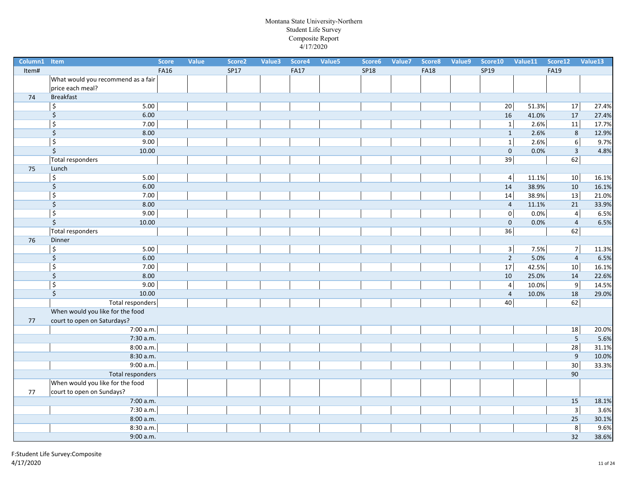| Column1 Item | <b>Score</b>                                 | Value | Score <sub>2</sub> | Value3 | Score4      | Value <sub>5</sub> | Score6      | Value7 | Score8      | Value9 | Score10         | Value11 | Score12         | Value13 |
|--------------|----------------------------------------------|-------|--------------------|--------|-------------|--------------------|-------------|--------|-------------|--------|-----------------|---------|-----------------|---------|
| Item#        | <b>FA16</b>                                  |       | SP17               |        | <b>FA17</b> |                    | <b>SP18</b> |        | <b>FA18</b> |        | SP19            |         | <b>FA19</b>     |         |
|              | What would you recommend as a fair           |       |                    |        |             |                    |             |        |             |        |                 |         |                 |         |
|              | price each meal?                             |       |                    |        |             |                    |             |        |             |        |                 |         |                 |         |
| 74           | <b>Breakfast</b>                             |       |                    |        |             |                    |             |        |             |        |                 |         |                 |         |
|              | \$<br>5.00                                   |       |                    |        |             |                    |             |        |             |        | 20              | 51.3%   | 17              | 27.4%   |
|              | \$<br>6.00                                   |       |                    |        |             |                    |             |        |             |        | 16              | 41.0%   | 17              | 27.4%   |
|              | $\overline{\xi}$<br>7.00                     |       |                    |        |             |                    |             |        |             |        | $1\overline{ }$ | 2.6%    | $\overline{11}$ | 17.7%   |
|              | $\overline{\varsigma}$<br>8.00               |       |                    |        |             |                    |             |        |             |        | $\mathbf{1}$    | 2.6%    | $\,8\,$         | 12.9%   |
|              | \$<br>9.00                                   |       |                    |        |             |                    |             |        |             |        | $\overline{1}$  | 2.6%    | $6 \mid$        | 9.7%    |
|              | \$<br>10.00                                  |       |                    |        |             |                    |             |        |             |        | $\mathbf 0$     | 0.0%    | $\overline{3}$  | 4.8%    |
|              | Total responders                             |       |                    |        |             |                    |             |        |             |        | 39              |         | 62              |         |
| 75           | Lunch                                        |       |                    |        |             |                    |             |        |             |        |                 |         |                 |         |
|              | \$<br>5.00                                   |       |                    |        |             |                    |             |        |             |        | $\vert$         | 11.1%   | 10              | 16.1%   |
|              | \$<br>6.00                                   |       |                    |        |             |                    |             |        |             |        | 14              | 38.9%   | 10              | 16.1%   |
|              | $\overline{\boldsymbol{\varsigma}}$<br>7.00  |       |                    |        |             |                    |             |        |             |        | 14              | 38.9%   | 13              | 21.0%   |
|              | \$<br>8.00                                   |       |                    |        |             |                    |             |        |             |        | $\overline{4}$  | 11.1%   | 21              | 33.9%   |
|              | \$<br>9.00                                   |       |                    |        |             |                    |             |        |             |        | 0               | 0.0%    | $\overline{4}$  | 6.5%    |
|              | $\overline{\xi}$<br>10.00                    |       |                    |        |             |                    |             |        |             |        | $\mathbf 0$     | 0.0%    | $\sqrt{4}$      | 6.5%    |
|              | <b>Total responders</b>                      |       |                    |        |             |                    |             |        |             |        | 36              |         | 62              |         |
| 76           | Dinner                                       |       |                    |        |             |                    |             |        |             |        |                 |         |                 |         |
|              | 5.00<br>$\overline{\varsigma}$               |       |                    |        |             |                    |             |        |             |        | 3 <sup>2</sup>  | 7.5%    | 7               | 11.3%   |
|              | $\overline{\xi}$<br>6.00                     |       |                    |        |             |                    |             |        |             |        | $\overline{2}$  | 5.0%    | $\sqrt{4}$      | 6.5%    |
|              | $\overline{\xi}$<br>7.00                     |       |                    |        |             |                    |             |        |             |        | 17              | 42.5%   | 10              | 16.1%   |
|              | \$<br>8.00                                   |       |                    |        |             |                    |             |        |             |        | 10              | 25.0%   | 14              | 22.6%   |
|              | \$<br>9.00                                   |       |                    |        |             |                    |             |        |             |        | $\vert$         | 10.0%   | $\overline{9}$  | 14.5%   |
|              | $\overline{\boldsymbol{\varsigma}}$<br>10.00 |       |                    |        |             |                    |             |        |             |        | $\overline{4}$  | 10.0%   | 18              | 29.0%   |
|              | Total responders                             |       |                    |        |             |                    |             |        |             |        | 40              |         | 62              |         |
|              | When would you like for the food             |       |                    |        |             |                    |             |        |             |        |                 |         |                 |         |
| 77           | court to open on Saturdays?                  |       |                    |        |             |                    |             |        |             |        |                 |         |                 |         |
|              | 7:00 a.m.                                    |       |                    |        |             |                    |             |        |             |        |                 |         | 18              | 20.0%   |
|              | 7:30 a.m.                                    |       |                    |        |             |                    |             |        |             |        |                 |         | $\overline{5}$  | 5.6%    |
|              | 8:00 a.m.                                    |       |                    |        |             |                    |             |        |             |        |                 |         | $\overline{28}$ | 31.1%   |
|              | 8:30 a.m.                                    |       |                    |        |             |                    |             |        |             |        |                 |         | $9\,$           | 10.0%   |
|              | 9:00 a.m.                                    |       |                    |        |             |                    |             |        |             |        |                 |         | 30              | 33.3%   |
|              | <b>Total responders</b>                      |       |                    |        |             |                    |             |        |             |        |                 |         | 90              |         |
|              | When would you like for the food             |       |                    |        |             |                    |             |        |             |        |                 |         |                 |         |
| $77$         | court to open on Sundays?                    |       |                    |        |             |                    |             |        |             |        |                 |         |                 |         |
|              | 7:00 a.m.                                    |       |                    |        |             |                    |             |        |             |        |                 |         | 15              | 18.1%   |
|              | 7:30 a.m.                                    |       |                    |        |             |                    |             |        |             |        |                 |         | $\overline{3}$  | 3.6%    |
|              | 8:00 a.m.                                    |       |                    |        |             |                    |             |        |             |        |                 |         | 25              | 30.1%   |
|              | 8:30 a.m.                                    |       |                    |        |             |                    |             |        |             |        |                 |         | $\overline{8}$  | 9.6%    |
|              | 9:00 a.m.                                    |       |                    |        |             |                    |             |        |             |        |                 |         | 32              | 38.6%   |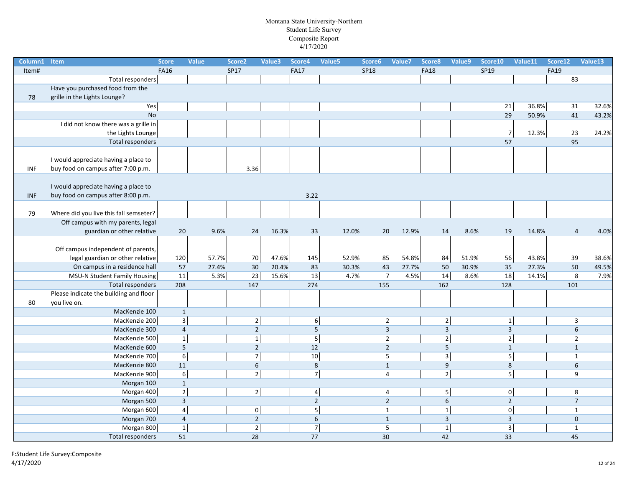| Column1    | Item                                   | <b>Score</b> | <b>Value</b>   | Score <sub>2</sub> | Value3 | Score4         | Value5 | Score6                  | Value7 | Score8         | Value9 | Score10                 | Value11 | Score12                 | Value13 |
|------------|----------------------------------------|--------------|----------------|--------------------|--------|----------------|--------|-------------------------|--------|----------------|--------|-------------------------|---------|-------------------------|---------|
| Item#      |                                        | <b>FA16</b>  |                | SP17               |        | <b>FA17</b>    |        | <b>SP18</b>             |        | <b>FA18</b>    |        | SP19                    |         | <b>FA19</b>             |         |
|            | Total responders                       |              |                |                    |        |                |        |                         |        |                |        |                         |         | 83                      |         |
|            | Have you purchased food from the       |              |                |                    |        |                |        |                         |        |                |        |                         |         |                         |         |
| 78         | grille in the Lights Lounge?           |              |                |                    |        |                |        |                         |        |                |        |                         |         |                         |         |
|            | Yes                                    |              |                |                    |        |                |        |                         |        |                |        | 21                      | 36.8%   | 31                      | 32.6%   |
|            | No                                     |              |                |                    |        |                |        |                         |        |                |        | 29                      | 50.9%   | 41                      | 43.2%   |
|            | I did not know there was a grille in   |              |                |                    |        |                |        |                         |        |                |        |                         |         |                         |         |
|            | the Lights Lounge                      |              |                |                    |        |                |        |                         |        |                |        | $\overline{7}$          | 12.3%   | 23                      | 24.2%   |
|            | Total responders                       |              |                |                    |        |                |        |                         |        |                |        | 57                      |         | 95                      |         |
|            |                                        |              |                |                    |        |                |        |                         |        |                |        |                         |         |                         |         |
|            | I would appreciate having a place to   |              |                |                    |        |                |        |                         |        |                |        |                         |         |                         |         |
| <b>INF</b> | buy food on campus after 7:00 p.m.     |              |                | 3.36               |        |                |        |                         |        |                |        |                         |         |                         |         |
|            |                                        |              |                |                    |        |                |        |                         |        |                |        |                         |         |                         |         |
|            | I would appreciate having a place to   |              |                |                    |        |                |        |                         |        |                |        |                         |         |                         |         |
| <b>INF</b> | buy food on campus after 8:00 p.m.     |              |                |                    |        | 3.22           |        |                         |        |                |        |                         |         |                         |         |
|            |                                        |              |                |                    |        |                |        |                         |        |                |        |                         |         |                         |         |
| 79         | Where did you live this fall semseter? |              |                |                    |        |                |        |                         |        |                |        |                         |         |                         |         |
|            | Off campus with my parents, legal      |              |                |                    |        |                |        |                         |        |                |        |                         |         |                         |         |
|            | guardian or other relative             | 20           | 9.6%           | 24                 | 16.3%  | 33             |        | 12.0%<br>20             | 12.9%  | 14             | 8.6%   | 19                      | 14.8%   | $\overline{a}$          | 4.0%    |
|            |                                        |              |                |                    |        |                |        |                         |        |                |        |                         |         |                         |         |
|            | Off campus independent of parents,     |              |                |                    |        |                |        |                         |        |                |        |                         |         |                         |         |
|            | legal guardian or other relative       | 120          | 57.7%          | 70                 | 47.6%  | 145            |        | 52.9%<br>85             | 54.8%  | 84             | 51.9%  | 56                      | 43.8%   | 39                      | 38.6%   |
|            | On campus in a residence hall          | 57           | 27.4%          | 30                 | 20.4%  | 83             |        | 43<br>30.3%             | 27.7%  | 50             | 30.9%  | 35                      | 27.3%   | 50                      | 49.5%   |
|            | <b>MSU-N Student Family Housing</b>    | 11           | 5.3%           | 23                 | 15.6%  | 13             |        | $\overline{7}$<br>4.7%  | 4.5%   | 14             | 8.6%   | 18                      | 14.1%   | $\overline{8}$          | 7.9%    |
|            | Total responders                       | 208          |                | 147                |        | 274            |        | 155                     |        | 162            |        | 128                     |         | 101                     |         |
|            | Please indicate the building and floor |              |                |                    |        |                |        |                         |        |                |        |                         |         |                         |         |
| 80         | you live on.                           |              |                |                    |        |                |        |                         |        |                |        |                         |         |                         |         |
|            | MacKenzie 100                          |              | $\mathbf{1}$   |                    |        |                |        |                         |        |                |        |                         |         |                         |         |
|            | MacKenzie 200                          |              | $\overline{3}$ | $\overline{2}$     |        | 6              |        | $\mathbf 2$             |        | $\mathbf 2$    |        | $\mathbf{1}$            |         | $\overline{\mathbf{3}}$ |         |
|            | MacKenzie 300                          |              | $\overline{4}$ | $\overline{2}$     |        | $\overline{5}$ |        | $\overline{\mathbf{3}}$ |        | $\overline{3}$ |        | $\overline{3}$          |         | $\boldsymbol{6}$        |         |
|            | MacKenzie 500                          |              | $\mathbf{1}$   | $\mathbf 1$        |        | 5              |        | $\mathbf 2$             |        | $\overline{2}$ |        | $\overline{2}$          |         | $\overline{2}$          |         |
|            | MacKenzie 600                          |              | 5              | $\overline{2}$     |        | 12             |        | $\overline{2}$          |        | 5              |        | $\mathbf{1}$            |         | $\mathbf{1}$            |         |
|            | MacKenzie 700                          |              | 6              | $\overline{7}$     |        | $10\,$         |        | 5                       |        | $\overline{3}$ |        | 5 <sub>1</sub>          |         | $\mathbf{1}$            |         |
|            | MacKenzie 800                          | 11           |                | 6                  |        | $\,8\,$        |        | $\mathbf 1$             |        | 9              |        | $\,8\,$                 |         | $\sqrt{6}$              |         |
|            | MacKenzie 900                          |              | $6\overline{}$ | $\overline{2}$     |        | $\overline{7}$ |        | $\pmb{4}$               |        | $\overline{2}$ |        | $\overline{5}$          |         | $\boldsymbol{9}$        |         |
|            | Morgan 100                             |              | $\mathbf{1}$   |                    |        |                |        |                         |        |                |        |                         |         |                         |         |
|            | Morgan 400                             |              | $\overline{2}$ | $2 \vert$          |        | $\overline{4}$ |        | $\overline{a}$          |        | 5 <sub>5</sub> |        | 0                       |         | 8                       |         |
|            | Morgan 500                             |              | $\overline{3}$ |                    |        | $\overline{2}$ |        | $\overline{2}$          |        | 6              |        | $\overline{2}$          |         | $\overline{7}$          |         |
|            | Morgan 600                             |              | $\overline{4}$ | $\mathbf 0$        |        | $\overline{5}$ |        | $\mathbf 1$             |        | $\mathbf 1$    |        | $\mathbf 0$             |         | $\overline{1}$          |         |
|            | Morgan 700                             |              | $\overline{4}$ | $\overline{2}$     |        | 6              |        | $\mathbf{1}$            |        | $\overline{3}$ |        | $\overline{3}$          |         | $\mathbf 0$             |         |
|            | Morgan 800                             |              | $\mathbf 1$    | $\mathbf 2$        |        | $\overline{7}$ |        | $\sf 5$                 |        | $\mathbf 1$    |        | $\overline{\mathbf{3}}$ |         | $\mathbf 1$             |         |
|            | <b>Total responders</b>                | 51           |                | 28                 |        | 77             |        | 30                      |        | 42             |        | 33                      |         | 45                      |         |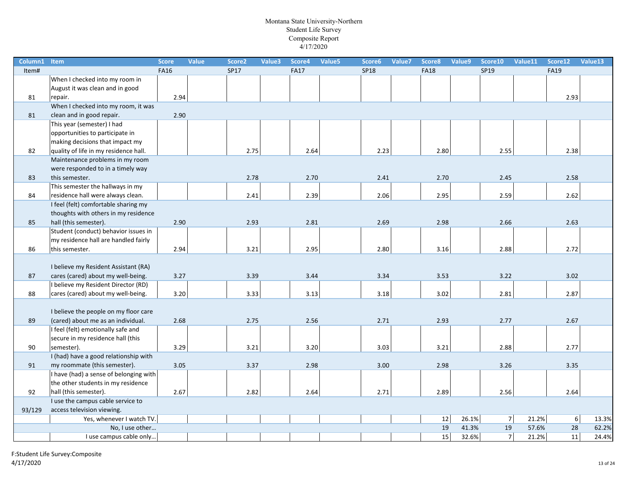| Column1 | Item                                   | <b>Score</b> | Value | Score <sub>2</sub> | Value3 | Score4      | Value5 | Score6      | Value7 | Score8      | Value9 | Score10 | Value11 | Score12     | Value13 |
|---------|----------------------------------------|--------------|-------|--------------------|--------|-------------|--------|-------------|--------|-------------|--------|---------|---------|-------------|---------|
| Item#   |                                        | <b>FA16</b>  |       | <b>SP17</b>        |        | <b>FA17</b> |        | <b>SP18</b> |        | <b>FA18</b> |        | SP19    |         | <b>FA19</b> |         |
|         | When I checked into my room in         |              |       |                    |        |             |        |             |        |             |        |         |         |             |         |
|         | August it was clean and in good        |              |       |                    |        |             |        |             |        |             |        |         |         |             |         |
| 81      | repair.                                | 2.94         |       |                    |        |             |        |             |        |             |        |         |         | 2.93        |         |
|         | When I checked into my room, it was    |              |       |                    |        |             |        |             |        |             |        |         |         |             |         |
| 81      | clean and in good repair.              | 2.90         |       |                    |        |             |        |             |        |             |        |         |         |             |         |
|         | This year (semester) I had             |              |       |                    |        |             |        |             |        |             |        |         |         |             |         |
|         | opportunities to participate in        |              |       |                    |        |             |        |             |        |             |        |         |         |             |         |
|         | making decisions that impact my        |              |       |                    |        |             |        |             |        |             |        |         |         |             |         |
| 82      | quality of life in my residence hall.  |              |       | 2.75               |        | 2.64        |        | 2.23        |        | 2.80        |        | 2.55    |         | 2.38        |         |
|         | Maintenance problems in my room        |              |       |                    |        |             |        |             |        |             |        |         |         |             |         |
|         | were responded to in a timely way      |              |       |                    |        |             |        |             |        |             |        |         |         |             |         |
| 83      | this semester.                         |              |       | 2.78               |        | 2.70        |        | 2.41        |        | 2.70        |        | 2.45    |         | 2.58        |         |
|         | This semester the hallways in my       |              |       |                    |        |             |        |             |        |             |        |         |         |             |         |
| 84      | residence hall were always clean.      |              |       | 2.41               |        | 2.39        |        | 2.06        |        | 2.95        |        | 2.59    |         | 2.62        |         |
|         | I feel (felt) comfortable sharing my   |              |       |                    |        |             |        |             |        |             |        |         |         |             |         |
|         | thoughts with others in my residence   |              |       |                    |        |             |        |             |        |             |        |         |         |             |         |
| 85      | hall (this semester).                  | 2.90         |       | 2.93               |        | 2.81        |        | 2.69        |        | 2.98        |        | 2.66    |         | 2.63        |         |
|         | Student (conduct) behavior issues in   |              |       |                    |        |             |        |             |        |             |        |         |         |             |         |
|         | my residence hall are handled fairly   |              |       |                    |        |             |        |             |        |             |        |         |         |             |         |
| 86      | this semester.                         | 2.94         |       | 3.21               |        | 2.95        |        | 2.80        |        | 3.16        |        | 2.88    |         | 2.72        |         |
|         |                                        |              |       |                    |        |             |        |             |        |             |        |         |         |             |         |
|         | I believe my Resident Assistant (RA)   |              |       |                    |        |             |        |             |        |             |        |         |         |             |         |
| 87      | cares (cared) about my well-being.     | 3.27         |       | 3.39               |        | 3.44        |        | 3.34        |        | 3.53        |        | 3.22    |         | 3.02        |         |
| 88      | I believe my Resident Director (RD)    |              |       |                    |        | 3.13        |        |             |        | 3.02        |        |         |         | 2.87        |         |
|         | cares (cared) about my well-being.     | 3.20         |       | 3.33               |        |             |        | 3.18        |        |             |        | 2.81    |         |             |         |
|         | I believe the people on my floor care  |              |       |                    |        |             |        |             |        |             |        |         |         |             |         |
| 89      | (cared) about me as an individual.     | 2.68         |       | 2.75               |        | 2.56        |        | 2.71        |        | 2.93        |        | 2.77    |         | 2.67        |         |
|         | I feel (felt) emotionally safe and     |              |       |                    |        |             |        |             |        |             |        |         |         |             |         |
|         | secure in my residence hall (this      |              |       |                    |        |             |        |             |        |             |        |         |         |             |         |
| 90      | semester).                             | 3.29         |       | 3.21               |        | 3.20        |        | 3.03        |        | 3.21        |        | 2.88    |         | 2.77        |         |
|         | I (had) have a good relationship with  |              |       |                    |        |             |        |             |        |             |        |         |         |             |         |
| 91      | my roommate (this semester).           | 3.05         |       | 3.37               |        | 2.98        |        | 3.00        |        | 2.98        |        | 3.26    |         | 3.35        |         |
|         | I have (had) a sense of belonging with |              |       |                    |        |             |        |             |        |             |        |         |         |             |         |
|         | the other students in my residence     |              |       |                    |        |             |        |             |        |             |        |         |         |             |         |
| 92      | hall (this semester).                  | 2.67         |       | 2.82               |        | 2.64        |        | 2.71        |        | 2.89        |        | 2.56    |         | 2.64        |         |
|         | I use the campus cable service to      |              |       |                    |        |             |        |             |        |             |        |         |         |             |         |
| 93/129  | access television viewing.             |              |       |                    |        |             |        |             |        |             |        |         |         |             |         |
|         | Yes, whenever I watch TV.              |              |       |                    |        |             |        |             |        | 12          | 26.1%  | 7       | 21.2%   | $6 \mid$    | 13.3%   |
|         | No, I use other                        |              |       |                    |        |             |        |             |        | 19          | 41.3%  | 19      | 57.6%   | 28          | 62.2%   |
|         | I use campus cable only                |              |       |                    |        |             |        |             |        | 15          | 32.6%  | 7       | 21.2%   | 11          | 24.4%   |
|         |                                        |              |       |                    |        |             |        |             |        |             |        |         |         |             |         |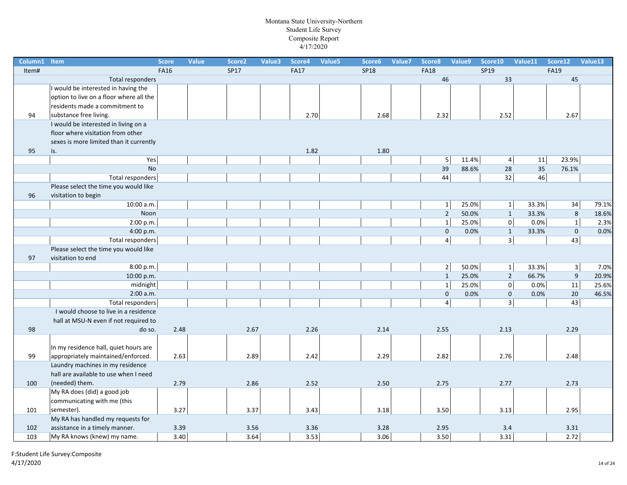| Column1 | Item                                    | <b>Score</b> | <b>Value</b> | Score <sub>2</sub> | Value3 | Score4      | Value5 | Score6      | Value7 | Score8              | Value9 | Score10 | Value11                      | Score12                 | Value13 |
|---------|-----------------------------------------|--------------|--------------|--------------------|--------|-------------|--------|-------------|--------|---------------------|--------|---------|------------------------------|-------------------------|---------|
| Item#   |                                         | <b>FA16</b>  |              | <b>SP17</b>        |        | <b>FA17</b> |        | <b>SP18</b> |        | <b>FA18</b>         |        | SP19    |                              | <b>FA19</b>             |         |
|         | Total responders                        |              |              |                    |        |             |        |             |        | 46                  |        | 33      |                              | 45                      |         |
|         | I would be interested in having the     |              |              |                    |        |             |        |             |        |                     |        |         |                              |                         |         |
|         | option to live on a floor where all the |              |              |                    |        |             |        |             |        |                     |        |         |                              |                         |         |
|         | residents made a commitment to          |              |              |                    |        |             |        |             |        |                     |        |         |                              |                         |         |
| 94      | substance free living.                  |              |              |                    |        | 2.70        |        | 2.68        |        | 2.32                |        | 2.52    |                              | 2.67                    |         |
|         | I would be interested in living on a    |              |              |                    |        |             |        |             |        |                     |        |         |                              |                         |         |
|         | floor where visitation from other       |              |              |                    |        |             |        |             |        |                     |        |         |                              |                         |         |
|         | sexes is more limited than it currently |              |              |                    |        |             |        |             |        |                     |        |         |                              |                         |         |
| 95      | is.                                     |              |              |                    |        | 1.82        |        | 1.80        |        |                     |        |         |                              |                         |         |
|         | Yes                                     |              |              |                    |        |             |        |             |        | 5                   | 11.4%  |         | $\overline{4}$<br>${\bf 11}$ | 23.9%                   |         |
|         | <b>No</b>                               |              |              |                    |        |             |        |             |        | 39                  | 88.6%  | 28      | 35                           | 76.1%                   |         |
|         | <b>Total responders</b>                 |              |              |                    |        |             |        |             |        | 44                  |        | 32      | 46                           |                         |         |
|         | Please select the time you would like   |              |              |                    |        |             |        |             |        |                     |        |         |                              |                         |         |
| 96      | visitation to begin                     |              |              |                    |        |             |        |             |        |                     |        |         |                              |                         |         |
|         | 10:00 a.m.                              |              |              |                    |        |             |        |             |        | $1\vert$            | 25.0%  |         | 33.3%<br>$1\vert$            | 34                      | 79.1%   |
|         | Noon                                    |              |              |                    |        |             |        |             |        | $\overline{2}$      | 50.0%  |         | 33.3%<br>$\mathbf{1}$        | 8                       | 18.6%   |
|         | 2:00 p.m.                               |              |              |                    |        |             |        |             |        | $\mathbf{1}$        | 25.0%  |         | $\mathbf 0$<br>0.0%          | $\overline{1}$          | 2.3%    |
|         | 4:00 p.m.                               |              |              |                    |        |             |        |             |        | $\mathsf{O}\xspace$ | 0.0%   |         | 33.3%<br>$\mathbf{1}$        | $\mathbf 0$             | 0.0%    |
|         | <b>Total responders</b>                 |              |              |                    |        |             |        |             |        | $\overline{4}$      |        |         | $\overline{3}$               | 43                      |         |
|         | Please select the time you would like   |              |              |                    |        |             |        |             |        |                     |        |         |                              |                         |         |
| 97      | visitation to end                       |              |              |                    |        |             |        |             |        |                     |        |         |                              |                         |         |
|         | 8:00 p.m.                               |              |              |                    |        |             |        |             |        | $2\vert$            | 50.0%  |         | $1\vert$<br>33.3%            | $\overline{\mathbf{3}}$ | 7.0%    |
|         | 10:00 p.m.                              |              |              |                    |        |             |        |             |        | $\mathbf{1}$        | 25.0%  |         | $\overline{2}$<br>66.7%      | 9                       | 20.9%   |
|         | midnight                                |              |              |                    |        |             |        |             |        | $1\vert$            | 25.0%  |         | $\overline{0}$<br>0.0%       | 11                      | 25.6%   |
|         | 2:00 a.m.                               |              |              |                    |        |             |        |             |        | $\mathbf{0}$        | 0.0%   |         | $\mathbf 0$<br>0.0%          | 20                      | 46.5%   |
|         | Total responders                        |              |              |                    |        |             |        |             |        | $\overline{4}$      |        |         | $\overline{\mathbf{3}}$      | 43                      |         |
|         | I would choose to live in a residence   |              |              |                    |        |             |        |             |        |                     |        |         |                              |                         |         |
|         | hall at MSU-N even if not required to   |              |              |                    |        |             |        |             |        |                     |        |         |                              |                         |         |
| 98      | do so.                                  | 2.48         |              | 2.67               |        | 2.26        |        | 2.14        |        | 2.55                |        | 2.13    |                              | 2.29                    |         |
|         |                                         |              |              |                    |        |             |        |             |        |                     |        |         |                              |                         |         |
|         | In my residence hall, quiet hours are   |              |              |                    |        |             |        |             |        |                     |        |         |                              |                         |         |
| 99      | appropriately maintained/enforced.      | 2.63         |              | 2.89               |        | 2.42        |        | 2.29        |        | 2.82                |        | 2.76    |                              | 2.48                    |         |
|         | Laundry machines in my residence        |              |              |                    |        |             |        |             |        |                     |        |         |                              |                         |         |
|         | hall are available to use when I need   |              |              |                    |        |             |        |             |        |                     |        |         |                              |                         |         |
| 100     | (needed) them.                          | 2.79         |              | 2.86               |        | 2.52        |        | 2.50        |        | 2.75                |        | 2.77    |                              | 2.73                    |         |
|         | My RA does (did) a good job             |              |              |                    |        |             |        |             |        |                     |        |         |                              |                         |         |
|         | communicating with me (this             |              |              |                    |        |             |        |             |        |                     |        |         |                              |                         |         |
| 101     | semester).                              | 3.27         |              | 3.37               |        | 3.43        |        | 3.18        |        | 3.50                |        | 3.13    |                              | 2.95                    |         |
|         | My RA has handled my requests for       |              |              |                    |        |             |        |             |        |                     |        |         |                              |                         |         |
| 102     | assistance in a timely manner.          | 3.39         |              | 3.56               |        | 3.36        |        | 3.28        |        | 2.95                |        | 3.4     |                              | 3.31                    |         |
| 103     | My RA knows (knew) my name.             | 3.40         |              |                    | 3.64   | 3.53        |        | 3.06        |        | 3.50                |        | 3.31    |                              | 2.72                    |         |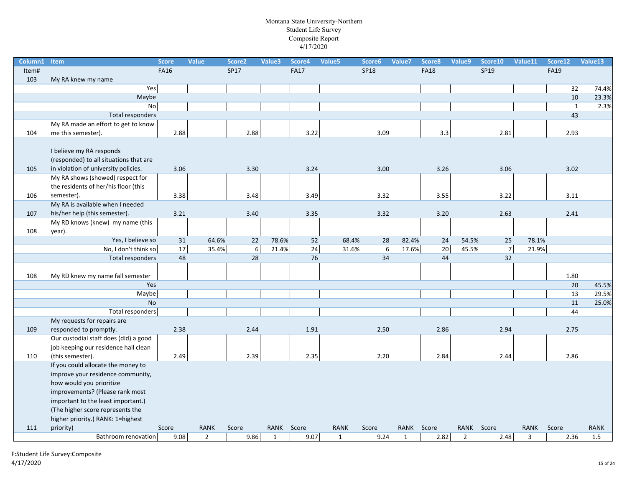| Column1 | Item                                                                     | <b>Score</b> | Value          | Score2      | Value3 | Score4      | Value5       | Score6      | Value7 | Score8      | Value9         | Score10        | Value11     | Score12      | Value13     |
|---------|--------------------------------------------------------------------------|--------------|----------------|-------------|--------|-------------|--------------|-------------|--------|-------------|----------------|----------------|-------------|--------------|-------------|
| Item#   |                                                                          | <b>FA16</b>  |                | <b>SP17</b> |        | <b>FA17</b> |              | <b>SP18</b> |        | <b>FA18</b> |                | SP19           |             | <b>FA19</b>  |             |
| 103     | My RA knew my name                                                       |              |                |             |        |             |              |             |        |             |                |                |             |              |             |
|         | Yes                                                                      |              |                |             |        |             |              |             |        |             |                |                |             | 32           | 74.4%       |
|         | Maybe                                                                    |              |                |             |        |             |              |             |        |             |                |                |             | 10           | 23.3%       |
|         | No                                                                       |              |                |             |        |             |              |             |        |             |                |                |             | $\mathbf{1}$ | 2.3%        |
|         | <b>Total responders</b>                                                  |              |                |             |        |             |              |             |        |             |                |                |             | 43           |             |
|         | My RA made an effort to get to know                                      |              |                |             |        |             |              |             |        |             |                |                |             |              |             |
| 104     | me this semester).                                                       | 2.88         |                | 2.88        |        | 3.22        |              | 3.09        |        | 3.3         |                | 2.81           |             | 2.93         |             |
|         | I believe my RA responds<br>(responded) to all situations that are       |              |                |             |        |             |              |             |        |             |                |                |             |              |             |
| 105     | in violation of university policies.                                     | 3.06         |                | 3.30        |        | 3.24        |              | 3.00        |        | 3.26        |                | 3.06           |             | 3.02         |             |
|         | My RA shows (showed) respect for<br>the residents of her/his floor (this |              |                |             |        |             |              |             |        |             |                |                |             |              |             |
| 106     | semester).<br>My RA is available when I needed                           | 3.38         |                | 3.48        |        | 3.49        |              | 3.32        |        | 3.55        |                | 3.22           |             | 3.11         |             |
|         |                                                                          |              |                |             |        |             |              |             |        |             |                |                |             |              |             |
| 107     | his/her help (this semester).<br>My RD knows (knew) my name (this        | 3.21         |                | 3.40        |        | 3.35        |              | 3.32        |        | 3.20        |                | 2.63           |             | 2.41         |             |
| 108     | year).                                                                   |              |                |             |        |             |              |             |        |             |                |                |             |              |             |
|         | Yes, I believe so                                                        | 31           | 64.6%          | 22          | 78.6%  | 52          | 68.4%        | 28          | 82.4%  | 24          | 54.5%          | 25             | 78.1%       |              |             |
|         | No, I don't think so                                                     | 17           | 35.4%          | 6           | 21.4%  | 24          | 31.6%        | $\,6\,$     | 17.6%  | $20\,$      | 45.5%          | $\overline{7}$ | 21.9%       |              |             |
|         | <b>Total responders</b>                                                  | 48           |                | 28          |        | 76          |              | 34          |        | 44          |                | 32             |             |              |             |
| 108     | My RD knew my name fall semester                                         |              |                |             |        |             |              |             |        |             |                |                |             | 1.80         |             |
|         | Yes                                                                      |              |                |             |        |             |              |             |        |             |                |                |             | 20           | 45.5%       |
|         | Maybe                                                                    |              |                |             |        |             |              |             |        |             |                |                |             | 13           | 29.5%       |
|         | <b>No</b>                                                                |              |                |             |        |             |              |             |        |             |                |                |             | 11           | 25.0%       |
|         | Total responders                                                         |              |                |             |        |             |              |             |        |             |                |                |             | 44           |             |
|         | My requests for repairs are                                              |              |                |             |        |             |              |             |        |             |                |                |             |              |             |
| 109     | responded to promptly.                                                   | 2.38         |                | 2.44        |        | 1.91        |              | 2.50        |        | 2.86        |                | 2.94           |             | 2.75         |             |
|         | Our custodial staff does (did) a good                                    |              |                |             |        |             |              |             |        |             |                |                |             |              |             |
|         | job keeping our residence hall clean                                     |              |                |             |        |             |              |             |        |             |                |                |             |              |             |
| 110     | (this semester).                                                         | 2.49         |                | 2.39        |        | 2.35        |              | 2.20        |        | 2.84        |                | 2.44           |             | 2.86         |             |
|         | If you could allocate the money to<br>improve your residence community,  |              |                |             |        |             |              |             |        |             |                |                |             |              |             |
|         | how would you prioritize                                                 |              |                |             |        |             |              |             |        |             |                |                |             |              |             |
|         | improvements? (Please rank most                                          |              |                |             |        |             |              |             |        |             |                |                |             |              |             |
|         | important to the least important.)                                       |              |                |             |        |             |              |             |        |             |                |                |             |              |             |
|         | (The higher score represents the                                         |              |                |             |        |             |              |             |        |             |                |                |             |              |             |
|         | higher priority.) RANK: 1=highest                                        |              |                |             |        |             |              |             |        |             |                |                |             |              |             |
| 111     | priority)                                                                | Score        | <b>RANK</b>    | Score       |        | RANK Score  | <b>RANK</b>  | Score       |        | RANK Score  |                | RANK Score     | <b>RANK</b> | Score        | <b>RANK</b> |
|         | Bathroom renovation                                                      | 9.08         | $\overline{2}$ | 9.86        | 1      | 9.07        | $\mathbf{1}$ | 9.24        | 1      | 2.82        | $\overline{2}$ | 2.48           | 3           | 2.36         | 1.5         |
|         |                                                                          |              |                |             |        |             |              |             |        |             |                |                |             |              |             |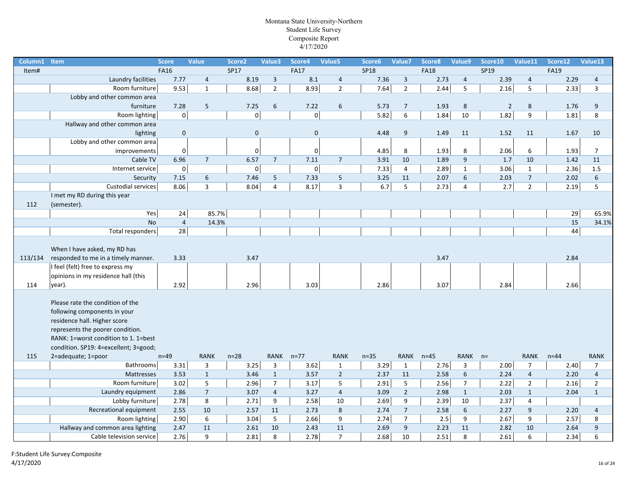| Column1 Item |                                                                                                                                                                                                                       | <b>Score</b>   | <b>Value</b>   | Score <sub>2</sub> | Value3           | Score4              | Value5           | Score6      | Value7         | Score8      | Value9          | Score10        | Value11          | Score12     | Value13        |
|--------------|-----------------------------------------------------------------------------------------------------------------------------------------------------------------------------------------------------------------------|----------------|----------------|--------------------|------------------|---------------------|------------------|-------------|----------------|-------------|-----------------|----------------|------------------|-------------|----------------|
| Item#        |                                                                                                                                                                                                                       | <b>FA16</b>    |                | <b>SP17</b>        |                  | <b>FA17</b>         |                  | <b>SP18</b> |                | <b>FA18</b> |                 | SP19           |                  | <b>FA19</b> |                |
|              | Laundry facilities                                                                                                                                                                                                    | 7.77           | $\overline{4}$ | 8.19               | $\mathbf{3}$     | 8.1                 | $\overline{4}$   | 7.36        | $\overline{3}$ | 2.73        | $\overline{4}$  | 2.39           | $\overline{4}$   | 2.29        | $\overline{4}$ |
|              | Room furniture                                                                                                                                                                                                        | 9.53           | $\mathbf{1}$   | 8.68               | $\mathbf 2$      | 8.93                | $\overline{2}$   | 7.64        | $\overline{2}$ | 2.44        | 5               | 2.16           | $\overline{5}$   | 2.33        | $\overline{3}$ |
|              | Lobby and other common area                                                                                                                                                                                           |                |                |                    |                  |                     |                  |             |                |             |                 |                |                  |             |                |
|              | furniture                                                                                                                                                                                                             | 7.28           | 5              | 7.25               | $\boldsymbol{6}$ | 7.22                | 6                | 5.73        | $\overline{7}$ | 1.93        | 8               | $\overline{2}$ | 8                | 1.76        | 9              |
|              | Room lighting                                                                                                                                                                                                         | $\mathbf 0$    |                | $\mathbf 0$        |                  | $\mathbf 0$         |                  | 5.82        | 6              | 1.84        | 10              | 1.82           | 9                | 1.81        | 8              |
|              | Hallway and other common area                                                                                                                                                                                         |                |                |                    |                  |                     |                  |             |                |             |                 |                |                  |             |                |
|              | lighting                                                                                                                                                                                                              | $\mathbf 0$    |                | $\mathbf 0$        |                  | $\mathbf 0$         |                  | 4.48        | 9              | 1.49        | 11              | 1.52           | 11               | 1.67        | 10             |
|              | Lobby and other common area                                                                                                                                                                                           |                |                |                    |                  |                     |                  |             |                |             |                 |                |                  |             |                |
|              | improvements                                                                                                                                                                                                          | 0              |                | 0                  |                  | 0                   |                  | 4.85        | 8              | 1.93        | 8               | 2.06           | 6                | 1.93        | $\overline{7}$ |
|              | Cable TV                                                                                                                                                                                                              | 6.96           | $\overline{7}$ | 6.57               | $7\overline{ }$  | 7.11                | $\overline{7}$   | 3.91        | 10             | 1.89        | 9               | 1.7            | 10               | 1.42        | 11             |
|              | Internet service                                                                                                                                                                                                      | $\mathbf 0$    |                | $\mathbf 0$        |                  | $\mathsf{O}\xspace$ |                  | 7.33        | $\overline{4}$ | 2.89        | $\mathbf{1}$    | $3.06$         | $\mathbf{1}$     | 2.36        | 1.5            |
|              | Security                                                                                                                                                                                                              | 7.15           | 6              | 7.46               | 5                | 7.33                | 5                | 3.25        | 11             | 2.07        | 6               | 2.03           | $\overline{7}$   | 2.02        | 6              |
|              | Custodial services                                                                                                                                                                                                    | 8.06           | $\overline{3}$ | 8.04               | $\overline{4}$   | 8.17                | $\mathbf{3}$     | 6.7         | 5              | 2.73        | $\overline{4}$  | 2.7            | $\mathbf 2$      | 2.19        | 5              |
|              | I met my RD during this year                                                                                                                                                                                          |                |                |                    |                  |                     |                  |             |                |             |                 |                |                  |             |                |
| 112          | (semester).                                                                                                                                                                                                           |                |                |                    |                  |                     |                  |             |                |             |                 |                |                  |             |                |
|              | Yes                                                                                                                                                                                                                   | 24             | 85.7%          |                    |                  |                     |                  |             |                |             |                 |                |                  | 29          | 65.9%          |
|              | <b>No</b>                                                                                                                                                                                                             | $\overline{4}$ | 14.3%          |                    |                  |                     |                  |             |                |             |                 |                |                  | 15          | 34.1%          |
|              | Total responders                                                                                                                                                                                                      | 28             |                |                    |                  |                     |                  |             |                |             |                 |                |                  | 44          |                |
| 113/134      | When I have asked, my RD has<br>responded to me in a timely manner.<br>I feel (felt) free to express my<br>opinions in my residence hall (this                                                                        | 3.33           |                | 3.47               |                  |                     |                  |             |                | 3.47        |                 |                |                  | 2.84        |                |
| 114          | year).                                                                                                                                                                                                                | 2.92           |                | 2.96               |                  | 3.03                |                  | 2.86        |                | 3.07        |                 | 2.84           |                  | 2.66        |                |
|              | Please rate the condition of the<br>following components in your<br>residence hall. Higher score<br>represents the poorer condition.<br>RANK: 1=worst condition to 1. 1=best<br>condition. SP19: 4=excellent; 3=good; |                |                |                    |                  |                     |                  |             |                |             |                 |                |                  |             |                |
| 115          | 2=adequate; 1=poor                                                                                                                                                                                                    | $n=49$         | RANK           | $n=28$             | RANK n=77        |                     | <b>RANK</b>      | $n=35$      | RANK           | $n=45$      | RANK n=         |                | RANK             | $n=44$      | RANK           |
|              | Bathrooms                                                                                                                                                                                                             | 3.31           | 3              | 3.25               | $\overline{3}$   | 3.62                | $\mathbf{1}$     | 3.29        | $\mathbf{1}$   | 2.76        | $\overline{3}$  | 2.00           | $\overline{7}$   | 2.40        | $\overline{7}$ |
|              | Mattresses                                                                                                                                                                                                            | 3.53           | $\mathbf{1}$   | 3.46               | $\mathbf{1}$     | 3.57                | $\overline{2}$   | 2.37        | 11             | 2.58        | $6\overline{6}$ | 2.24           | $\overline{4}$   | 2.20        | $\overline{4}$ |
|              | Room furniture                                                                                                                                                                                                        | 3.02           | 5              | 2.96               | $\overline{7}$   | 3.17                | $\mathsf S$      | 2.91        | 5              | 2.56        | $\overline{7}$  | 2.22           | $\mathbf 2$      | 2.16        | $\overline{2}$ |
|              | Laundry equipment                                                                                                                                                                                                     | 2.86           | $\overline{7}$ | 3.07               | $\overline{4}$   | 3.27                | $\overline{4}$   | 3.09        | $2^{\circ}$    | 2.98        | $\mathbf{1}$    | 2.03           | $\mathbf{1}$     | 2.04        | $\mathbf{1}$   |
|              | Lobby furniture                                                                                                                                                                                                       | 2.78           | 8              | 2.71               | 9                | 2.58                | $10\,$           | 2.69        | 9              | 2.39        | 10              | 2.37           | 4                |             |                |
|              | Recreational equipment                                                                                                                                                                                                | 2.55           | 10             | 2.57               | 11               | 2.73                | $8\phantom{1}$   | 2.74        | $\overline{7}$ | 2.58        | 6               | 2.27           | $\boldsymbol{9}$ | 2.20        | $\overline{4}$ |
|              | Room lighting                                                                                                                                                                                                         | 2.90           | 6              | 3.04               | 5                | 2.66                | $\boldsymbol{9}$ | 2.74        | $\overline{7}$ | 2.5         | 9               | 2.67           | $\boldsymbol{9}$ | 2.57        | 8              |
|              | Hallway and common area lighting                                                                                                                                                                                      | 2.47           | 11             | 2.61               | 10               | 2.43                | 11               | 2.69        | $9\,$          | 2.23        | 11              | 2.82           | 10               | 2.64        | 9              |
|              | Cable television service                                                                                                                                                                                              | 2.76           | 9              | 2.81               | 8                | 2.78                | $\overline{7}$   | 2.68        | 10             | 2.51        | 8               | 2.61           | 6                | 2.34        | 6              |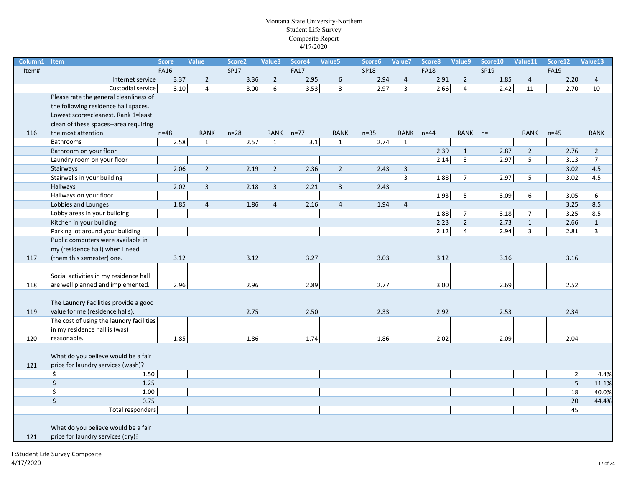| Column1 | <b>Item</b>                              | <b>Score</b> | <b>Value</b>   | Score <sub>2</sub> | Value3         | Score4      | Value5         | Score6      | Value7                  | Score8      | Value9         | Score10 | Value11        | Score12                 | Value13        |
|---------|------------------------------------------|--------------|----------------|--------------------|----------------|-------------|----------------|-------------|-------------------------|-------------|----------------|---------|----------------|-------------------------|----------------|
| Item#   |                                          | <b>FA16</b>  |                | SP17               |                | <b>FA17</b> |                | <b>SP18</b> |                         | <b>FA18</b> |                | SP19    |                | <b>FA19</b>             |                |
|         | Internet service                         | 3.37         | $\overline{2}$ | 3.36               | $\overline{2}$ | 2.95        | 6              | 2.94        | $\overline{4}$          | 2.91        | $\overline{2}$ | 1.85    | $\overline{4}$ | 2.20                    | $\overline{4}$ |
|         | Custodial service                        | 3.10         | $\overline{4}$ | 3.00               | 6              | $3.53$      | 3              | 2.97        | $\overline{\mathbf{3}}$ | 2.66        | $\overline{4}$ | 2.42    | 11             | 2.70                    | 10             |
|         | Please rate the general cleanliness of   |              |                |                    |                |             |                |             |                         |             |                |         |                |                         |                |
|         | the following residence hall spaces.     |              |                |                    |                |             |                |             |                         |             |                |         |                |                         |                |
|         | Lowest score=cleanest. Rank 1=least      |              |                |                    |                |             |                |             |                         |             |                |         |                |                         |                |
|         | clean of these spaces--area requiring    |              |                |                    |                |             |                |             |                         |             |                |         |                |                         |                |
| 116     | the most attention.                      | $n=48$       | <b>RANK</b>    | $n=28$             | RANK n=77      |             | <b>RANK</b>    | $n=35$      | <b>RANK</b>             | $n = 44$    | RANK n=        |         | <b>RANK</b>    | $n=45$                  | <b>RANK</b>    |
|         | Bathrooms                                | 2.58         | $\mathbf{1}$   | 2.57               | $\mathbf{1}$   | 3.1         | $\mathbf{1}$   | 2.74        | $\mathbf{1}$            |             |                |         |                |                         |                |
|         | Bathroom on your floor                   |              |                |                    |                |             |                |             |                         | 2.39        | $\mathbf{1}$   | 2.87    | $\overline{2}$ | 2.76                    | $\overline{2}$ |
|         | Laundry room on your floor               |              |                |                    |                |             |                |             |                         | 2.14        | 3              | 2.97    | 5              | 3.13                    | $\overline{7}$ |
|         | Stairways                                | 2.06         | $\overline{2}$ | 2.19               | $\overline{2}$ | 2.36        | $2^{\circ}$    | 2.43        | $\overline{3}$          |             |                |         |                | 3.02                    | 4.5            |
|         | Stairwells in your building              |              |                |                    |                |             |                |             | 3                       | 1.88        | $\overline{7}$ | 2.97    | 5              | 3.02                    | 4.5            |
|         | Hallways                                 | 2.02         | $\mathbf{3}$   | 2.18               | $\mathbf{3}$   | 2.21        | $\overline{3}$ | 2.43        |                         |             |                |         |                |                         |                |
|         | Hallways on your floor                   |              |                |                    |                |             |                |             |                         | 1.93        | 5              | 3.09    | 6              | 3.05                    | 6              |
|         | Lobbies and Lounges                      | 1.85         | $\overline{4}$ | 1.86               | $\overline{4}$ | 2.16        | $\overline{4}$ | 1.94        | $\overline{4}$          |             |                |         |                | 3.25                    | 8.5            |
|         | Lobby areas in your building             |              |                |                    |                |             |                |             |                         | 1.88        | $\overline{7}$ | 3.18    | $\overline{7}$ | 3.25                    | 8.5            |
|         | Kitchen in your building                 |              |                |                    |                |             |                |             |                         | 2.23        | $2^{\circ}$    | 2.73    | $\mathbf 1$    | 2.66                    | $\mathbf{1}$   |
|         | Parking lot around your building         |              |                |                    |                |             |                |             |                         | 2.12        | $\overline{4}$ | 2.94    | $\overline{3}$ | 2.81                    | $\overline{3}$ |
|         | Public computers were available in       |              |                |                    |                |             |                |             |                         |             |                |         |                |                         |                |
|         | my (residence hall) when I need          |              |                |                    |                |             |                |             |                         |             |                |         |                |                         |                |
| 117     | (them this semester) one.                | 3.12         |                | 3.12               |                | 3.27        |                | 3.03        |                         | 3.12        |                | 3.16    |                | 3.16                    |                |
|         |                                          |              |                |                    |                |             |                |             |                         |             |                |         |                |                         |                |
|         | Social activities in my residence hall   |              |                |                    |                |             |                |             |                         |             |                |         |                |                         |                |
| 118     | are well planned and implemented.        | 2.96         |                | 2.96               |                | 2.89        |                | 2.77        |                         | 3.00        |                | 2.69    |                | 2.52                    |                |
|         |                                          |              |                |                    |                |             |                |             |                         |             |                |         |                |                         |                |
|         | The Laundry Facilities provide a good    |              |                |                    |                |             |                |             |                         |             |                |         |                |                         |                |
| 119     | value for me (residence halls).          |              |                | 2.75               |                | 2.50        |                | 2.33        |                         | 2.92        |                | 2.53    |                | 2.34                    |                |
|         | The cost of using the laundry facilities |              |                |                    |                |             |                |             |                         |             |                |         |                |                         |                |
|         | in my residence hall is (was)            |              |                |                    |                |             |                |             |                         |             |                |         |                |                         |                |
| 120     | reasonable.                              | 1.85         |                | 1.86               |                | 1.74        |                | 1.86        |                         | 2.02        |                | 2.09    |                | 2.04                    |                |
|         |                                          |              |                |                    |                |             |                |             |                         |             |                |         |                |                         |                |
|         | What do you believe would be a fair      |              |                |                    |                |             |                |             |                         |             |                |         |                |                         |                |
| 121     | price for laundry services (wash)?       |              |                |                    |                |             |                |             |                         |             |                |         |                |                         |                |
|         | \$<br>1.50                               |              |                |                    |                |             |                |             |                         |             |                |         |                | 2                       | 4.4%           |
|         | \$<br>1.25                               |              |                |                    |                |             |                |             |                         |             |                |         |                | $\overline{\mathbf{5}}$ | 11.1%          |
|         | \$<br>1.00                               |              |                |                    |                |             |                |             |                         |             |                |         |                | 18                      | 40.0%          |
|         | \$<br>0.75                               |              |                |                    |                |             |                |             |                         |             |                |         |                | 20                      | 44.4%          |
|         | Total responders                         |              |                |                    |                |             |                |             |                         |             |                |         |                | 45                      |                |
|         |                                          |              |                |                    |                |             |                |             |                         |             |                |         |                |                         |                |
|         | What do you believe would be a fair      |              |                |                    |                |             |                |             |                         |             |                |         |                |                         |                |
| 121     | price for laundry services (dry)?        |              |                |                    |                |             |                |             |                         |             |                |         |                |                         |                |
|         |                                          |              |                |                    |                |             |                |             |                         |             |                |         |                |                         |                |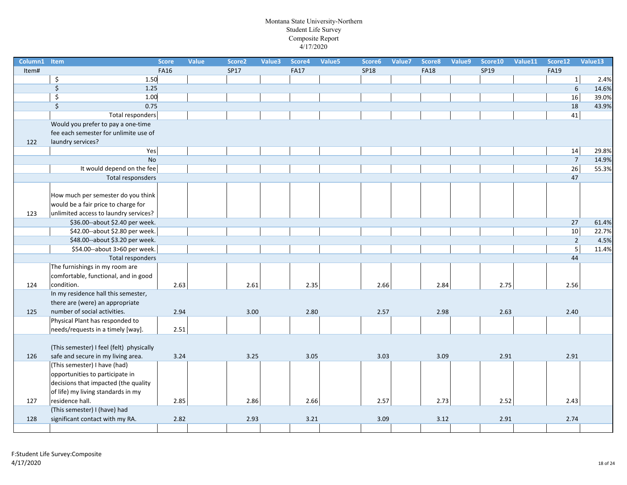| Column1 Item |                                          | <b>Score</b> | Value | Score <sub>2</sub> | Value3 | Score4      | Value5 | Score6      | Value7 | Score8      | Value9 | Score10 | Value11 | Score12        | Value13 |
|--------------|------------------------------------------|--------------|-------|--------------------|--------|-------------|--------|-------------|--------|-------------|--------|---------|---------|----------------|---------|
| Item#        |                                          | <b>FA16</b>  |       | <b>SP17</b>        |        | <b>FA17</b> |        | <b>SP18</b> |        | <b>FA18</b> |        | SP19    |         | <b>FA19</b>    |         |
|              | \$<br>1.50                               |              |       |                    |        |             |        |             |        |             |        |         |         | $\mathbf{1}$   | 2.4%    |
|              | \$<br>1.25                               |              |       |                    |        |             |        |             |        |             |        |         |         | 6              | 14.6%   |
|              | \$<br>1.00                               |              |       |                    |        |             |        |             |        |             |        |         |         | 16             | 39.0%   |
|              | $\overline{\xi}$<br>0.75                 |              |       |                    |        |             |        |             |        |             |        |         |         | 18             | 43.9%   |
|              | <b>Total responders</b>                  |              |       |                    |        |             |        |             |        |             |        |         |         | 41             |         |
|              | Would you prefer to pay a one-time       |              |       |                    |        |             |        |             |        |             |        |         |         |                |         |
|              | fee each semester for unlimite use of    |              |       |                    |        |             |        |             |        |             |        |         |         |                |         |
| 122          | laundry services?                        |              |       |                    |        |             |        |             |        |             |        |         |         |                |         |
|              | Yes                                      |              |       |                    |        |             |        |             |        |             |        |         |         | 14             | 29.8%   |
|              | <b>No</b>                                |              |       |                    |        |             |        |             |        |             |        |         |         | $\overline{7}$ | 14.9%   |
|              | It would depend on the fee               |              |       |                    |        |             |        |             |        |             |        |         |         | 26             | 55.3%   |
|              | Total responsders                        |              |       |                    |        |             |        |             |        |             |        |         |         | 47             |         |
|              |                                          |              |       |                    |        |             |        |             |        |             |        |         |         |                |         |
|              | How much per semester do you think       |              |       |                    |        |             |        |             |        |             |        |         |         |                |         |
|              | would be a fair price to charge for      |              |       |                    |        |             |        |             |        |             |        |         |         |                |         |
| 123          | unlimited access to laundry services?    |              |       |                    |        |             |        |             |        |             |        |         |         |                |         |
|              | \$36.00 -- about \$2.40 per week.        |              |       |                    |        |             |        |             |        |             |        |         |         | 27             | 61.4%   |
|              | \$42.00--about \$2.80 per week.          |              |       |                    |        |             |        |             |        |             |        |         |         | 10             | 22.7%   |
|              | \$48.00--about \$3.20 per week.          |              |       |                    |        |             |        |             |        |             |        |         |         | $\overline{2}$ | 4.5%    |
|              | \$54.00--about 3>60 per week.            |              |       |                    |        |             |        |             |        |             |        |         |         | $\overline{5}$ | 11.4%   |
|              | Total responders                         |              |       |                    |        |             |        |             |        |             |        |         |         | 44             |         |
|              | The furnishings in my room are           |              |       |                    |        |             |        |             |        |             |        |         |         |                |         |
|              | comfortable, functional, and in good     |              |       |                    |        |             |        |             |        |             |        |         |         |                |         |
| 124          | condition.                               | 2.63         |       | 2.61               |        | 2.35        |        | 2.66        |        | 2.84        |        | 2.75    |         | 2.56           |         |
|              | In my residence hall this semester,      |              |       |                    |        |             |        |             |        |             |        |         |         |                |         |
|              | there are (were) an appropriate          |              |       |                    |        |             |        |             |        |             |        |         |         |                |         |
| 125          | number of social activities.             | 2.94         |       | 3.00               |        | 2.80        |        | 2.57        |        | 2.98        |        | 2.63    |         | 2.40           |         |
|              | Physical Plant has responded to          |              |       |                    |        |             |        |             |        |             |        |         |         |                |         |
|              | needs/requests in a timely [way].        | 2.51         |       |                    |        |             |        |             |        |             |        |         |         |                |         |
|              |                                          |              |       |                    |        |             |        |             |        |             |        |         |         |                |         |
|              | (This semester) I feel (felt) physically |              |       |                    |        |             |        |             |        |             |        |         |         |                |         |
| 126          | safe and secure in my living area.       | 3.24         |       | 3.25               |        | 3.05        |        | 3.03        |        | 3.09        |        | 2.91    |         | 2.91           |         |
|              | (This semester) I have (had)             |              |       |                    |        |             |        |             |        |             |        |         |         |                |         |
|              | opportunities to participate in          |              |       |                    |        |             |        |             |        |             |        |         |         |                |         |
|              | decisions that impacted (the quality     |              |       |                    |        |             |        |             |        |             |        |         |         |                |         |
|              | of life) my living standards in my       |              |       |                    |        |             |        |             |        |             |        |         |         |                |         |
| 127          | residence hall.                          | 2.85         |       | 2.86               |        | 2.66        |        | 2.57        |        | 2.73        |        | 2.52    |         | 2.43           |         |
|              | (This semester) I (have) had             |              |       |                    |        |             |        |             |        |             |        |         |         |                |         |
| 128          | significant contact with my RA.          | 2.82         |       | 2.93               |        | 3.21        |        | 3.09        |        | 3.12        |        | 2.91    |         | 2.74           |         |
|              |                                          |              |       |                    |        |             |        |             |        |             |        |         |         |                |         |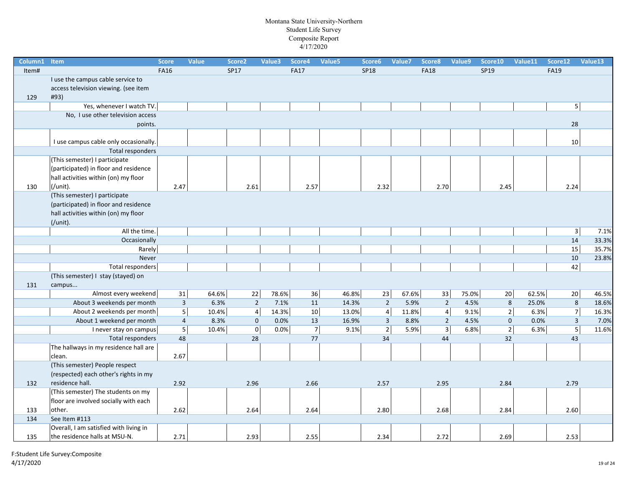| Column1 | Item                                   | <b>Score</b>   | <b>Value</b> | Score <sub>2</sub>  | Value3 | Score4         | Value5 | Score6         | Value7 | Score8         | Value9 | Score10        | Value11 | Score12                 | Value13 |
|---------|----------------------------------------|----------------|--------------|---------------------|--------|----------------|--------|----------------|--------|----------------|--------|----------------|---------|-------------------------|---------|
| Item#   |                                        | <b>FA16</b>    |              | SP17                |        | <b>FA17</b>    |        | <b>SP18</b>    |        | <b>FA18</b>    |        | SP19           |         | <b>FA19</b>             |         |
|         | I use the campus cable service to      |                |              |                     |        |                |        |                |        |                |        |                |         |                         |         |
|         | access television viewing. (see item   |                |              |                     |        |                |        |                |        |                |        |                |         |                         |         |
| 129     | #93)                                   |                |              |                     |        |                |        |                |        |                |        |                |         |                         |         |
|         | Yes, whenever I watch TV.              |                |              |                     |        |                |        |                |        |                |        |                |         | 5 <sup>1</sup>          |         |
|         | No, I use other television access      |                |              |                     |        |                |        |                |        |                |        |                |         |                         |         |
|         | points.                                |                |              |                     |        |                |        |                |        |                |        |                |         | 28                      |         |
|         |                                        |                |              |                     |        |                |        |                |        |                |        |                |         |                         |         |
|         | I use campus cable only occasionally.  |                |              |                     |        |                |        |                |        |                |        |                |         | 10                      |         |
|         | <b>Total responders</b>                |                |              |                     |        |                |        |                |        |                |        |                |         |                         |         |
|         | (This semester) I participate          |                |              |                     |        |                |        |                |        |                |        |                |         |                         |         |
|         | (participated) in floor and residence  |                |              |                     |        |                |        |                |        |                |        |                |         |                         |         |
|         | hall activities within (on) my floor   |                |              |                     |        |                |        |                |        |                |        |                |         |                         |         |
| 130     | (/unit).                               | 2.47           |              | 2.61                |        | 2.57           |        | 2.32           |        | 2.70           |        | 2.45           |         | 2.24                    |         |
|         | (This semester) I participate          |                |              |                     |        |                |        |                |        |                |        |                |         |                         |         |
|         | (participated) in floor and residence  |                |              |                     |        |                |        |                |        |                |        |                |         |                         |         |
|         | hall activities within (on) my floor   |                |              |                     |        |                |        |                |        |                |        |                |         |                         |         |
|         | $($ /unit $).$                         |                |              |                     |        |                |        |                |        |                |        |                |         |                         |         |
|         | All the time.                          |                |              |                     |        |                |        |                |        |                |        |                |         | $\overline{\mathbf{3}}$ | 7.1%    |
|         | Occasionally                           |                |              |                     |        |                |        |                |        |                |        |                |         | 14                      | 33.3%   |
|         | Rarely                                 |                |              |                     |        |                |        |                |        |                |        |                |         | 15                      | 35.7%   |
|         | Never                                  |                |              |                     |        |                |        |                |        |                |        |                |         | 10                      | 23.8%   |
|         | Total responders                       |                |              |                     |        |                |        |                |        |                |        |                |         | 42                      |         |
|         | (This semester) I stay (stayed) on     |                |              |                     |        |                |        |                |        |                |        |                |         |                         |         |
| 131     | campus                                 |                |              |                     |        |                |        |                |        |                |        |                |         |                         |         |
|         | Almost every weekend                   | 31             | 64.6%        | 22                  | 78.6%  | 36             | 46.8%  | 23             | 67.6%  | 33             | 75.0%  | 20             | 62.5%   | 20                      | 46.5%   |
|         | About 3 weekends per month             | $\overline{3}$ | 6.3%         | $\overline{2}$      | 7.1%   | 11             | 14.3%  | $\overline{2}$ | 5.9%   | $\mathbf 2$    | 4.5%   | 8              | 25.0%   | 8                       | 18.6%   |
|         | About 2 weekends per month             | 5 <sup>1</sup> | 10.4%        | $\overline{4}$      | 14.3%  | 10             | 13.0%  | $\overline{4}$ | 11.8%  | $\pmb{4}$      | 9.1%   | $2\vert$       | 6.3%    | $\overline{7}$          | 16.3%   |
|         | About 1 weekend per month              | $\overline{4}$ | 8.3%         | $\mathbf 0$         | 0.0%   | 13             | 16.9%  | $\overline{3}$ | 8.8%   | $\overline{2}$ | 4.5%   | $\mathbf{0}$   | 0.0%    | $\overline{3}$          | 7.0%    |
|         | I never stay on campus                 | 5 <sup>1</sup> | 10.4%        | $\mathsf{O}\xspace$ | 0.0%   | $\overline{7}$ | 9.1%   | 2              | 5.9%   | $\overline{3}$ | 6.8%   | $\overline{2}$ | 6.3%    | $\overline{5}$          | 11.6%   |
|         | <b>Total responders</b>                | 48             |              | 28                  |        | 77             |        | 34             |        | 44             |        | 32             |         | 43                      |         |
|         | The hallways in my residence hall are  |                |              |                     |        |                |        |                |        |                |        |                |         |                         |         |
|         | clean.                                 | 2.67           |              |                     |        |                |        |                |        |                |        |                |         |                         |         |
|         | (This semester) People respect         |                |              |                     |        |                |        |                |        |                |        |                |         |                         |         |
|         | (respected) each other's rights in my  |                |              |                     |        |                |        |                |        |                |        |                |         |                         |         |
| 132     | residence hall.                        | 2.92           |              | 2.96                |        | 2.66           |        | 2.57           |        | 2.95           |        | 2.84           |         | 2.79                    |         |
|         | (This semester) The students on my     |                |              |                     |        |                |        |                |        |                |        |                |         |                         |         |
|         | floor are involved socially with each  |                |              |                     |        |                |        |                |        |                |        |                |         |                         |         |
| 133     | other.                                 | 2.62           |              | 2.64                |        | 2.64           |        | 2.80           |        | 2.68           |        | 2.84           |         | 2.60                    |         |
| 134     | See Item #113                          |                |              |                     |        |                |        |                |        |                |        |                |         |                         |         |
|         | Overall, I am satisfied with living in |                |              |                     |        |                |        |                |        |                |        |                |         |                         |         |
| 135     | the residence halls at MSU-N.          | 2.71           |              | 2.93                |        | 2.55           |        | 2.34           |        | 2.72           |        | 2.69           |         | 2.53                    |         |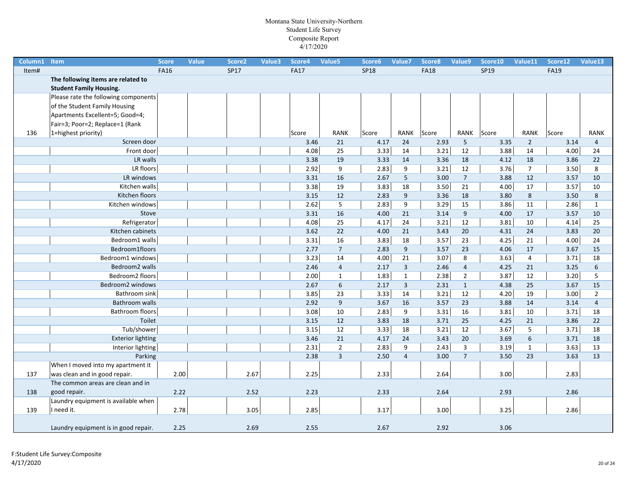| Column1 | Item                                 | <b>Score</b> | <b>Value</b> | Score <sub>2</sub> | Value3 | Score4      | Value5         | Score6      | Value7           | Score8      | Value9          | Score10     | Value11        | Score12     | Value13        |
|---------|--------------------------------------|--------------|--------------|--------------------|--------|-------------|----------------|-------------|------------------|-------------|-----------------|-------------|----------------|-------------|----------------|
| Item#   |                                      | <b>FA16</b>  |              | <b>SP17</b>        |        | <b>FA17</b> |                | <b>SP18</b> |                  | <b>FA18</b> |                 | <b>SP19</b> |                | <b>FA19</b> |                |
|         | The following items are related to   |              |              |                    |        |             |                |             |                  |             |                 |             |                |             |                |
|         | <b>Student Family Housing.</b>       |              |              |                    |        |             |                |             |                  |             |                 |             |                |             |                |
|         | Please rate the following components |              |              |                    |        |             |                |             |                  |             |                 |             |                |             |                |
|         | of the Student Family Housing        |              |              |                    |        |             |                |             |                  |             |                 |             |                |             |                |
|         | Apartments Excellent=5; Good=4;      |              |              |                    |        |             |                |             |                  |             |                 |             |                |             |                |
|         | Fair=3; Poor=2; Replace=1 (Rank      |              |              |                    |        |             |                |             |                  |             |                 |             |                |             |                |
| 136     | 1=highest priority)                  |              |              |                    |        | Score       | <b>RANK</b>    | Score       | <b>RANK</b>      | Score       | RANK            | Score       | <b>RANK</b>    | Score       | <b>RANK</b>    |
|         | Screen door                          |              |              |                    |        | 3.46        | 21             | 4.17        | 24               | 2.93        | $5\phantom{.0}$ | 3.35        | $\overline{2}$ | 3.14        | $\overline{4}$ |
|         | Front door                           |              |              |                    |        | 4.08        | 25             | 3.33        | 14               | 3.21        | 12              | 3.88        | 14             | 4.00        | 24             |
|         | LR walls                             |              |              |                    |        | 3.38        | 19             | 3.33        | 14               | 3.36        | 18              | 4.12        | 18             | 3.86        | 22             |
|         | LR floors                            |              |              |                    |        | 2.92        | 9              | 2.83        | 9                | 3.21        | 12              | $3.76$      | $\overline{7}$ | 3.50        | 8              |
|         | LR windows                           |              |              |                    |        | 3.31        | 16             | 2.67        | 5 <sub>1</sub>   | 3.00        | $\overline{7}$  | 3.88        | 12             | 3.57        | 10             |
|         | Kitchen walls                        |              |              |                    |        | 3.38        | 19             | 3.83        | 18               | 3.50        | 21              | 4.00        | 17             | 3.57        | 10             |
|         | Kitchen floors                       |              |              |                    |        | 3.15        | 12             | 2.83        | $\overline{9}$   | 3.36        | 18              | 3.80        | 8              | 3.50        | 8              |
|         | Kitchen windows                      |              |              |                    |        | 2.62        | 5              | 2.83        | $\boldsymbol{9}$ | 3.29        | 15              | 3.86        | 11             | 2.86        | $\mathbf{1}$   |
|         | Stove                                |              |              |                    |        | 3.31        | 16             | 4.00        | 21               | 3.14        | 9               | 4.00        | 17             | 3.57        | 10             |
|         | Refrigerator                         |              |              |                    |        | 4.08        | 25             | 4.17        | 24               | 3.21        | 12              | 3.81        | 10             | 4.14        | 25             |
|         | Kitchen cabinets                     |              |              |                    |        | 3.62        | 22             | 4.00        | 21               | 3.43        | 20              | 4.31        | 24             | 3.83        | 20             |
|         | Bedroom1 walls                       |              |              |                    |        | 3.31        | 16             | 3.83        | 18               | 3.57        | 23              | 4.25        | 21             | 4.00        | 24             |
|         | Bedroom1floors                       |              |              |                    |        | 2.77        | $\overline{7}$ | 2.83        | 9                | 3.57        | 23              | 4.06        | 17             | 3.67        | 15             |
|         | Bedroom1 windows                     |              |              |                    |        | 3.23        | 14             | 4.00        | 21               | 3.07        | 8               | 3.63        | $\overline{4}$ | 3.71        | 18             |
|         | Bedroom <sub>2</sub> walls           |              |              |                    |        | 2.46        | $\overline{4}$ | 2.17        | $\overline{3}$   | 2.46        | $\overline{4}$  | 4.25        | 21             | 3.25        | 6              |
|         | Bedroom2 floors                      |              |              |                    |        | 2.00        | $\mathbf{1}$   | 1.83        | $\mathbf{1}$     | 2.38        | $\overline{2}$  | 3.87        | 12             | 3.20        | 5              |
|         | Bedroom2 windows                     |              |              |                    |        | 2.67        | 6              | 2.17        | $\overline{3}$   | 2.31        | $\mathbf{1}$    | 4.38        | 25             | 3.67        | 15             |
|         | Bathroom sink                        |              |              |                    |        | 3.85        | 23             | 3.33        | 14               | 3.21        | 12              | 4.20        | 19             | 3.00        | $\overline{2}$ |
|         | Bathroom walls                       |              |              |                    |        | 2.92        | 9              | 3.67        | 16               | 3.57        | 23              | 3.88        | 14             | 3.14        | $\overline{4}$ |
|         | Bathroom floors                      |              |              |                    |        | 3.08        | 10             | 2.83        | 9                | 3.31        | 16              | 3.81        | 10             | 3.71        | 18             |
|         | Toilet                               |              |              |                    |        | 3.15        | 12             | 3.83        | 18               | 3.71        | 25              | 4.25        | 21             | 3.86        | 22             |
|         | Tub/shower                           |              |              |                    |        | 3.15        | 12             | 3.33        | 18               | 3.21        | 12              | 3.67        | 5              | 3.71        | 18             |
|         | <b>Exterior lighting</b>             |              |              |                    |        | 3.46        | 21             | 4.17        | 24               | 3.43        | 20              | 3.69        | 6              | 3.71        | 18             |
|         | Interior lighting                    |              |              |                    |        | 2.31        | $\overline{2}$ | 2.83        | 9                | 2.43        | $\overline{3}$  | 3.19        | $\mathbf{1}$   | 3.63        | 13             |
|         | Parking                              |              |              |                    |        | 2.38        | $\overline{3}$ | 2.50        | $\overline{4}$   | 3.00        | $7\overline{ }$ | 3.50        | 23             | 3.63        | 13             |
|         | When I moved into my apartment it    |              |              |                    |        |             |                |             |                  |             |                 |             |                |             |                |
| 137     | was clean and in good repair.        | 2.00         |              | 2.67               |        | 2.25        |                | 2.33        |                  | 2.64        |                 | 3.00        |                | 2.83        |                |
|         | The common areas are clean and in    |              |              |                    |        |             |                |             |                  |             |                 |             |                |             |                |
| 138     | good repair.                         | 2.22         |              | 2.52               |        | 2.23        |                | 2.33        |                  | 2.64        |                 | 2.93        |                | 2.86        |                |
|         | Laundry equipment is available when  |              |              |                    |        |             |                |             |                  |             |                 |             |                |             |                |
| 139     | I need it.                           | 2.78         |              | 3.05               |        | 2.85        |                | 3.17        |                  | 3.00        |                 | 3.25        |                | 2.86        |                |
|         |                                      |              |              |                    |        |             |                |             |                  |             |                 |             |                |             |                |
|         | Laundry equipment is in good repair. | 2.25         |              | 2.69               |        | 2.55        |                | 2.67        |                  | 2.92        |                 | 3.06        |                |             |                |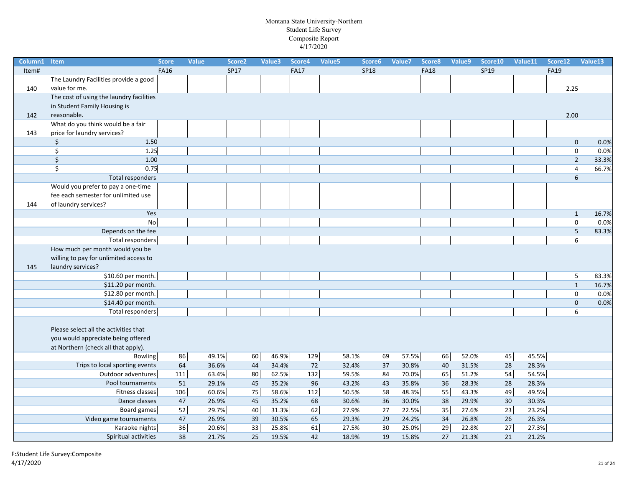| Column1 | Item                                     | <b>Score</b> | <b>Value</b> | Score <sub>2</sub> | Value3 | Score4      | Value5 | Score6      | Value7 | Score8      | Value9 | Score10 | Value11 | Score12        | Value13 |
|---------|------------------------------------------|--------------|--------------|--------------------|--------|-------------|--------|-------------|--------|-------------|--------|---------|---------|----------------|---------|
| Item#   |                                          | <b>FA16</b>  |              | <b>SP17</b>        |        | <b>FA17</b> |        | <b>SP18</b> |        | <b>FA18</b> |        | SP19    |         | <b>FA19</b>    |         |
|         | The Laundry Facilities provide a good    |              |              |                    |        |             |        |             |        |             |        |         |         |                |         |
| 140     | value for me.                            |              |              |                    |        |             |        |             |        |             |        |         |         | 2.25           |         |
|         | The cost of using the laundry facilities |              |              |                    |        |             |        |             |        |             |        |         |         |                |         |
|         | in Student Family Housing is             |              |              |                    |        |             |        |             |        |             |        |         |         |                |         |
| 142     | reasonable.                              |              |              |                    |        |             |        |             |        |             |        |         |         | 2.00           |         |
|         | What do you think would be a fair        |              |              |                    |        |             |        |             |        |             |        |         |         |                |         |
| 143     | price for laundry services?              |              |              |                    |        |             |        |             |        |             |        |         |         |                |         |
|         | \$<br>1.50                               |              |              |                    |        |             |        |             |        |             |        |         |         | $\mathbf 0$    | 0.0%    |
|         | Ś.<br>$1.25$                             |              |              |                    |        |             |        |             |        |             |        |         |         | $\overline{0}$ | 0.0%    |
|         | \$<br>1.00                               |              |              |                    |        |             |        |             |        |             |        |         |         | $\overline{2}$ | 33.3%   |
|         | $\overline{\mathsf{S}}$<br>0.75          |              |              |                    |        |             |        |             |        |             |        |         |         | $\overline{4}$ | 66.7%   |
|         | Total responders                         |              |              |                    |        |             |        |             |        |             |        |         |         | 6              |         |
|         | Would you prefer to pay a one-time       |              |              |                    |        |             |        |             |        |             |        |         |         |                |         |
|         | fee each semester for unlimited use      |              |              |                    |        |             |        |             |        |             |        |         |         |                |         |
| 144     | of laundry services?                     |              |              |                    |        |             |        |             |        |             |        |         |         |                |         |
|         | Yes                                      |              |              |                    |        |             |        |             |        |             |        |         |         | $\mathbf 1$    | 16.7%   |
|         | No                                       |              |              |                    |        |             |        |             |        |             |        |         |         | $\mathbf 0$    | 0.0%    |
|         | Depends on the fee                       |              |              |                    |        |             |        |             |        |             |        |         |         | 5              | 83.3%   |
|         | Total responders                         |              |              |                    |        |             |        |             |        |             |        |         |         | $6 \mid$       |         |
|         | How much per month would you be          |              |              |                    |        |             |        |             |        |             |        |         |         |                |         |
|         | willing to pay for unlimited access to   |              |              |                    |        |             |        |             |        |             |        |         |         |                |         |
| 145     | laundry services?                        |              |              |                    |        |             |        |             |        |             |        |         |         |                |         |
|         | \$10.60 per month.                       |              |              |                    |        |             |        |             |        |             |        |         |         | 5 <sub>l</sub> | 83.3%   |
|         | \$11.20 per month.                       |              |              |                    |        |             |        |             |        |             |        |         |         | $\mathbf{1}$   | 16.7%   |
|         | \$12.80 per month.                       |              |              |                    |        |             |        |             |        |             |        |         |         | $\mathbf 0$    | 0.0%    |
|         | \$14.40 per month.                       |              |              |                    |        |             |        |             |        |             |        |         |         | $\mathbf 0$    | 0.0%    |
|         | <b>Total responders</b>                  |              |              |                    |        |             |        |             |        |             |        |         |         | 6 <sup>1</sup> |         |
|         |                                          |              |              |                    |        |             |        |             |        |             |        |         |         |                |         |
|         | Please select all the activities that    |              |              |                    |        |             |        |             |        |             |        |         |         |                |         |
|         | you would appreciate being offered       |              |              |                    |        |             |        |             |        |             |        |         |         |                |         |
|         | at Northern (check all that apply).      |              |              |                    |        |             |        |             |        |             |        |         |         |                |         |
|         | <b>Bowling</b>                           | 86           | 49.1%        | 60                 | 46.9%  | 129         |        | 58.1%<br>69 | 57.5%  | 66          | 52.0%  | 45      | 45.5%   |                |         |
|         | Trips to local sporting events           | 64           | 36.6%        | 44                 | 34.4%  | 72          |        | 37<br>32.4% | 30.8%  | 40          | 31.5%  | 28      | 28.3%   |                |         |
|         | Outdoor adventures                       | 111          | 63.4%        | 80                 | 62.5%  | 132         |        | 59.5%<br>84 | 70.0%  | 65          | 51.2%  | 54      | 54.5%   |                |         |
|         | Pool tournaments                         | 51           | 29.1%        | 45                 | 35.2%  | 96          |        | 43.2%<br>43 | 35.8%  | 36          | 28.3%  | 28      | 28.3%   |                |         |
|         | Fitness classes                          | 106          | 60.6%        | 75                 | 58.6%  | 112         |        | 58<br>50.5% | 48.3%  | 55          | 43.3%  | 49      | 49.5%   |                |         |
|         | Dance classes                            | 47           | 26.9%        | 45                 | 35.2%  | 68          |        | 30.6%<br>36 | 30.0%  | 38          | 29.9%  | 30      | 30.3%   |                |         |
|         | Board games                              | 52           | 29.7%        | 40                 | 31.3%  | 62          |        | 27<br>27.9% | 22.5%  | 35          | 27.6%  | 23      | 23.2%   |                |         |
|         | Video game tournaments                   | 47           | 26.9%        | 39                 | 30.5%  | 65          |        | 29.3%<br>29 | 24.2%  | 34          | 26.8%  | 26      | 26.3%   |                |         |
|         | Karaoke nights                           | 36           | 20.6%        | 33                 | 25.8%  | 61          |        | 30<br>27.5% | 25.0%  | 29          | 22.8%  | 27      | 27.3%   |                |         |
|         | Spiritual activities                     | 38           | 21.7%        | 25                 | 19.5%  | 42          |        | 19<br>18.9% | 15.8%  | 27          | 21.3%  | 21      | 21.2%   |                |         |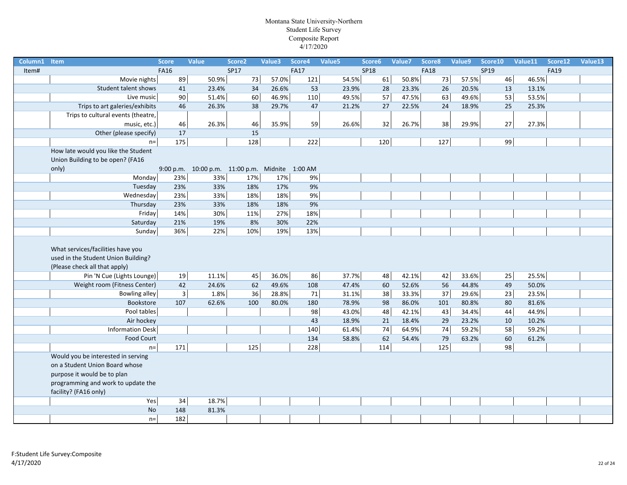| Column1 | Item                                                                                                      | <b>Score</b>   | <b>Value</b>                                    | Score <sub>2</sub> | Value3 | Score4      | Value5 | Score6      |      | Value7 | Score8          | Value9 | Score10 | Value11<br>Score12 | Value13 |
|---------|-----------------------------------------------------------------------------------------------------------|----------------|-------------------------------------------------|--------------------|--------|-------------|--------|-------------|------|--------|-----------------|--------|---------|--------------------|---------|
| Item#   |                                                                                                           | <b>FA16</b>    |                                                 | <b>SP17</b>        |        | <b>FA17</b> |        | <b>SP18</b> |      |        | <b>FA18</b>     |        | SP19    | <b>FA19</b>        |         |
|         | Movie nights                                                                                              | 89             | 50.9%                                           | 73                 | 57.0%  | 121         |        | 54.5%       | 61   | 50.8%  | 73              | 57.5%  | 46      | 46.5%              |         |
|         | Student talent shows                                                                                      | 41             | 23.4%                                           | 34                 | 26.6%  | 53          |        | 23.9%       | 28   | 23.3%  | 26              | 20.5%  | 13      | 13.1%              |         |
|         | Live music                                                                                                | 90             | 51.4%                                           | 60                 | 46.9%  | 110         |        | 49.5%       | 57   | 47.5%  | 63              | 49.6%  | 53      | 53.5%              |         |
|         | Trips to art galeries/exhibits                                                                            | 46             | 26.3%                                           | 38                 | 29.7%  | 47          |        | 21.2%       | 27   | 22.5%  | 24              | 18.9%  | 25      | 25.3%              |         |
|         | Trips to cultural events (theatre,                                                                        |                |                                                 |                    |        |             |        |             |      |        |                 |        |         |                    |         |
|         | music, etc.)                                                                                              | 46             | 26.3%                                           | 46                 | 35.9%  | 59          |        | 26.6%       | 32   | 26.7%  | 38              | 29.9%  | $27\,$  | 27.3%              |         |
|         | Other (please specify)                                                                                    | 17             |                                                 | 15                 |        |             |        |             |      |        |                 |        |         |                    |         |
|         | $n =$                                                                                                     | 175            |                                                 | 128                |        | 222         |        |             | 120  |        | 127             |        | 99      |                    |         |
|         | How late would you like the Student                                                                       |                |                                                 |                    |        |             |        |             |      |        |                 |        |         |                    |         |
|         | Union Building to be open? (FA16                                                                          |                |                                                 |                    |        |             |        |             |      |        |                 |        |         |                    |         |
|         | only)                                                                                                     |                | 9:00 p.m. 10:00 p.m. 11:00 p.m. Midnite 1:00 AM |                    |        |             |        |             |      |        |                 |        |         |                    |         |
|         | Monday                                                                                                    | 23%            | 33%                                             | 17%                | 17%    | 9%          |        |             |      |        |                 |        |         |                    |         |
|         | Tuesday                                                                                                   | 23%            | 33%                                             | 18%                | 17%    | 9%          |        |             |      |        |                 |        |         |                    |         |
|         | Wednesday                                                                                                 | 23%            | 33%                                             | 18%                | 18%    | 9%          |        |             |      |        |                 |        |         |                    |         |
|         | Thursday                                                                                                  | 23%            | 33%                                             | 18%                | 18%    | 9%          |        |             |      |        |                 |        |         |                    |         |
|         | Friday                                                                                                    | 14%            | 30%                                             | 11%                | 27%    | 18%         |        |             |      |        |                 |        |         |                    |         |
|         | Saturday                                                                                                  | 21%            | 19%                                             | 8%                 | 30%    | 22%         |        |             |      |        |                 |        |         |                    |         |
|         | Sunday                                                                                                    | 36%            | 22%                                             | 10%                | 19%    | 13%         |        |             |      |        |                 |        |         |                    |         |
|         | What services/facilities have you<br>used in the Student Union Building?<br>(Please check all that apply) |                |                                                 |                    |        |             |        |             |      |        |                 |        |         |                    |         |
|         | Pin 'N Cue (Lights Lounge)                                                                                | 19             | 11.1%                                           | 45                 | 36.0%  | 86          |        | 37.7%       | 48   | 42.1%  | 42              | 33.6%  | 25      | 25.5%              |         |
|         | Weight room (Fitness Center)                                                                              | 42             | 24.6%                                           | 62                 | 49.6%  | 108         |        | 47.4%       | 60   | 52.6%  | 56              | 44.8%  | 49      | 50.0%              |         |
|         | <b>Bowling alley</b>                                                                                      | $\overline{3}$ | 1.8%                                            | 36                 | 28.8%  | 71          |        | 31.1%       | 38   | 33.3%  | $\overline{37}$ | 29.6%  | 23      | 23.5%              |         |
|         | Bookstore                                                                                                 | 107            | 62.6%                                           | 100                | 80.0%  | 180         |        | 78.9%       | 98   | 86.0%  | 101             | 80.8%  | 80      | 81.6%              |         |
|         | Pool tables                                                                                               |                |                                                 |                    |        | 98          |        | 43.0%       | 48   | 42.1%  | 43              | 34.4%  | $44\,$  | 44.9%              |         |
|         | Air hockey                                                                                                |                |                                                 |                    |        | 43          |        | 18.9%       | 21   | 18.4%  | 29              | 23.2%  | 10      | 10.2%              |         |
|         | <b>Information Desk</b>                                                                                   |                |                                                 |                    |        | 140         |        | 61.4%       | $74$ | 64.9%  | $74$            | 59.2%  | 58      | 59.2%              |         |
|         | <b>Food Court</b>                                                                                         |                |                                                 |                    |        | 134         |        | 58.8%       | 62   | 54.4%  | 79              | 63.2%  | 60      | 61.2%              |         |
|         | $n =$                                                                                                     | 171            |                                                 | 125                |        | 228         |        |             | 114  |        | 125             |        | 98      |                    |         |
|         | Would you be interested in serving                                                                        |                |                                                 |                    |        |             |        |             |      |        |                 |        |         |                    |         |
|         | on a Student Union Board whose                                                                            |                |                                                 |                    |        |             |        |             |      |        |                 |        |         |                    |         |
|         | purpose it would be to plan                                                                               |                |                                                 |                    |        |             |        |             |      |        |                 |        |         |                    |         |
|         | programming and work to update the                                                                        |                |                                                 |                    |        |             |        |             |      |        |                 |        |         |                    |         |
|         | facility? (FA16 only)                                                                                     |                |                                                 |                    |        |             |        |             |      |        |                 |        |         |                    |         |
|         | Yes                                                                                                       | $34\,$         | 18.7%                                           |                    |        |             |        |             |      |        |                 |        |         |                    |         |
|         | <b>No</b>                                                                                                 | 148            | 81.3%                                           |                    |        |             |        |             |      |        |                 |        |         |                    |         |
|         | $n =$                                                                                                     | 182            |                                                 |                    |        |             |        |             |      |        |                 |        |         |                    |         |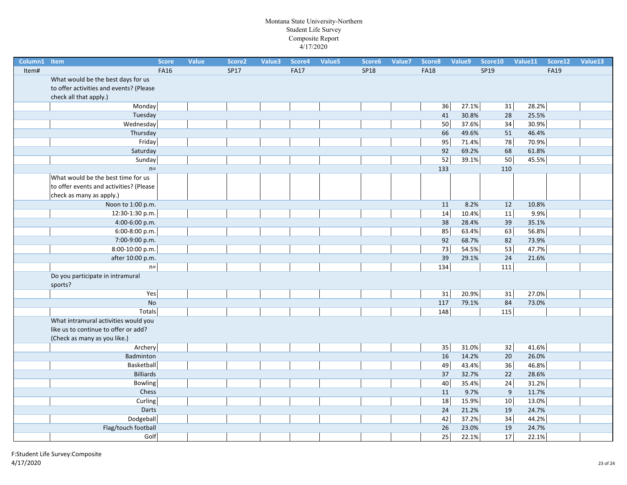| Column1 Item |                                         | <b>Score</b> | <b>Value</b> | Score <sub>2</sub> | Value3 | Score4      | Value <sub>5</sub> | Score6      | Value7 | Score8      | Value9 | Score10          | Value11 | Score12     | Value13 |
|--------------|-----------------------------------------|--------------|--------------|--------------------|--------|-------------|--------------------|-------------|--------|-------------|--------|------------------|---------|-------------|---------|
| Item#        |                                         | <b>FA16</b>  |              | SP17               |        | <b>FA17</b> |                    | <b>SP18</b> |        | <b>FA18</b> |        | SP19             |         | <b>FA19</b> |         |
|              | What would be the best days for us      |              |              |                    |        |             |                    |             |        |             |        |                  |         |             |         |
|              | to offer activities and events? (Please |              |              |                    |        |             |                    |             |        |             |        |                  |         |             |         |
|              | check all that apply.)                  |              |              |                    |        |             |                    |             |        |             |        |                  |         |             |         |
|              | Monday                                  |              |              |                    |        |             |                    |             |        | 36          | 27.1%  | $31\,$           | 28.2%   |             |         |
|              | Tuesday                                 |              |              |                    |        |             |                    |             |        | 41          | 30.8%  | 28               | 25.5%   |             |         |
|              | Wednesday                               |              |              |                    |        |             |                    |             |        | 50          | 37.6%  | 34               | 30.9%   |             |         |
|              | Thursday                                |              |              |                    |        |             |                    |             |        | 66          | 49.6%  | 51               | 46.4%   |             |         |
|              | Friday                                  |              |              |                    |        |             |                    |             |        | 95          | 71.4%  | 78               | 70.9%   |             |         |
|              | Saturday                                |              |              |                    |        |             |                    |             |        | 92          | 69.2%  | 68               | 61.8%   |             |         |
|              | Sunday                                  |              |              |                    |        |             |                    |             |        | 52          | 39.1%  | 50               | 45.5%   |             |         |
|              | $n=$                                    |              |              |                    |        |             |                    |             |        | 133         |        | 110              |         |             |         |
|              | What would be the best time for us      |              |              |                    |        |             |                    |             |        |             |        |                  |         |             |         |
|              | to offer events and activities? (Please |              |              |                    |        |             |                    |             |        |             |        |                  |         |             |         |
|              | check as many as apply.)                |              |              |                    |        |             |                    |             |        |             |        |                  |         |             |         |
|              | Noon to 1:00 p.m.                       |              |              |                    |        |             |                    |             |        | 11          | 8.2%   | 12               | 10.8%   |             |         |
|              | 12:30-1:30 p.m.                         |              |              |                    |        |             |                    |             |        | 14          | 10.4%  | $11\,$           | 9.9%    |             |         |
|              | 4:00-6:00 p.m.                          |              |              |                    |        |             |                    |             |        | 38          | 28.4%  | 39               | 35.1%   |             |         |
|              | 6:00-8:00 p.m.                          |              |              |                    |        |             |                    |             |        | 85          | 63.4%  | 63               | 56.8%   |             |         |
|              | 7:00-9:00 p.m.                          |              |              |                    |        |             |                    |             |        | 92          | 68.7%  | 82               | 73.9%   |             |         |
|              | 8:00-10:00 p.m.                         |              |              |                    |        |             |                    |             |        | 73          | 54.5%  | 53               | 47.7%   |             |         |
|              | after 10:00 p.m.                        |              |              |                    |        |             |                    |             |        | 39          | 29.1%  | 24               | 21.6%   |             |         |
|              | $n=$                                    |              |              |                    |        |             |                    |             |        | 134         |        | 111              |         |             |         |
|              | Do you participate in intramural        |              |              |                    |        |             |                    |             |        |             |        |                  |         |             |         |
|              | sports?                                 |              |              |                    |        |             |                    |             |        |             |        |                  |         |             |         |
|              | Yes                                     |              |              |                    |        |             |                    |             |        | 31          | 20.9%  | 31               | 27.0%   |             |         |
|              | <b>No</b>                               |              |              |                    |        |             |                    |             |        | 117         | 79.1%  | 84               | 73.0%   |             |         |
|              | Totals                                  |              |              |                    |        |             |                    |             |        | 148         |        | 115              |         |             |         |
|              | What intramural activities would you    |              |              |                    |        |             |                    |             |        |             |        |                  |         |             |         |
|              | like us to continue to offer or add?    |              |              |                    |        |             |                    |             |        |             |        |                  |         |             |         |
|              | (Check as many as you like.)            |              |              |                    |        |             |                    |             |        |             |        |                  |         |             |         |
|              | Archery                                 |              |              |                    |        |             |                    |             |        | 35          | 31.0%  | $32\,$           | 41.6%   |             |         |
|              | Badminton                               |              |              |                    |        |             |                    |             |        | 16          | 14.2%  | 20               | 26.0%   |             |         |
|              | Basketball                              |              |              |                    |        |             |                    |             |        | 49          | 43.4%  | 36               | 46.8%   |             |         |
|              | <b>Billiards</b>                        |              |              |                    |        |             |                    |             |        | 37          | 32.7%  | 22               | 28.6%   |             |         |
|              | <b>Bowling</b>                          |              |              |                    |        |             |                    |             |        | 40          | 35.4%  | 24               | 31.2%   |             |         |
|              | Chess                                   |              |              |                    |        |             |                    |             |        | 11          | 9.7%   | $\boldsymbol{9}$ | 11.7%   |             |         |
|              | Curling                                 |              |              |                    |        |             |                    |             |        | 18          | 15.9%  | 10               | 13.0%   |             |         |
|              | Darts                                   |              |              |                    |        |             |                    |             |        | 24          | 21.2%  | 19               | 24.7%   |             |         |
|              | Dodgeball                               |              |              |                    |        |             |                    |             |        | 42          | 37.2%  | 34               | 44.2%   |             |         |
|              | Flag/touch football                     |              |              |                    |        |             |                    |             |        | 26          | 23.0%  | 19               | 24.7%   |             |         |
|              | Golf                                    |              |              |                    |        |             |                    |             |        | 25          | 22.1%  | 17               | 22.1%   |             |         |